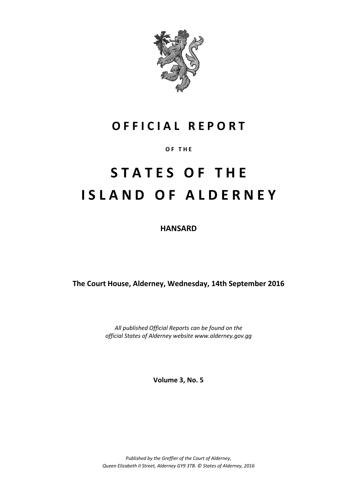

# **O F F I C I A L R E P O R T**

# **O F T H E**

# **S T A T E S O F T H E I S L A N D O F A L D E R N E Y**

**HANSARD**

**The Court House, Alderney, Wednesday, 14th September 2016**

*All published Official Reports can be found on the official States of Alderney website www.alderney.gov.gg*

**Volume 3, No. 5**

*Published by the Greffier of the Court of Alderney, Queen Elizabeth II Street, Alderney GY9 3TB. © States of Alderney, 2016*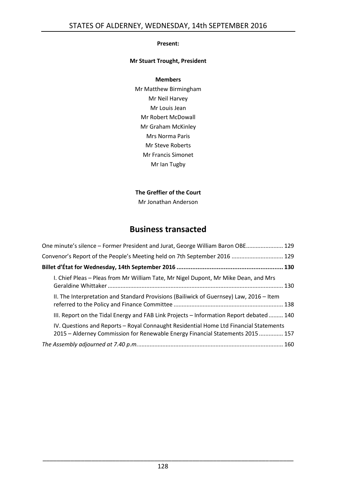# **Present:**

# **Mr Stuart Trought, President**

# **Members**

Mr Matthew Birmingham Mr Neil Harvey Mr Louis Jean Mr Robert McDowall Mr Graham McKinley Mrs Norma Paris Mr Steve Roberts Mr Francis Simonet Mr Ian Tugby

# **The Greffier of the Court**

Mr Jonathan Anderson

# **Business transacted**

| One minute's silence - Former President and Jurat, George William Baron OBE 129                                                                                         |  |
|-------------------------------------------------------------------------------------------------------------------------------------------------------------------------|--|
| Convenor's Report of the People's Meeting held on 7th September 2016  129                                                                                               |  |
|                                                                                                                                                                         |  |
| I. Chief Pleas - Pleas from Mr William Tate, Mr Nigel Dupont, Mr Mike Dean, and Mrs                                                                                     |  |
| II. The Interpretation and Standard Provisions (Bailiwick of Guernsey) Law, 2016 - Item                                                                                 |  |
| III. Report on the Tidal Energy and FAB Link Projects - Information Report debated  140                                                                                 |  |
| IV. Questions and Reports - Royal Connaught Residential Home Ltd Financial Statements<br>2015 - Alderney Commission for Renewable Energy Financial Statements 2015  157 |  |
|                                                                                                                                                                         |  |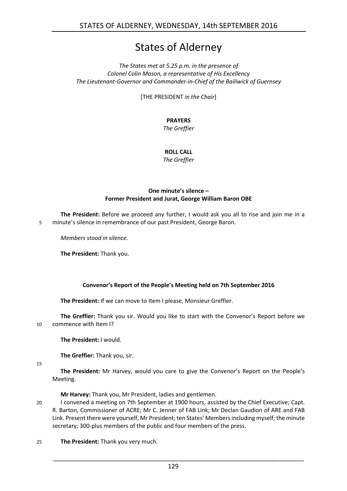# States of Alderney

# *The States met at 5.25 p.m. in the presence of Colonel Colin Mason, a representative of His Excellency The Lieutenant-Governor and Commander-in-Chief of the Bailiwick of Guernsey*

[THE PRESIDENT *in the Chair*]

# **PRAYERS**

*The Greffier*

# **ROLL CALL**

*The Greffier*

# **One minute's silence – Former President and Jurat, George William Baron OBE**

<span id="page-2-0"></span>**The President:** Before we proceed any further, I would ask you all to rise and join me in a 5 minute's silence in remembrance of our past President, George Baron.

*Members stood in silence.*

**The President:** Thank you.

# **Convenor's Report of the People's Meeting held on 7th September 2016**

<span id="page-2-1"></span>**The President:** If we can move to Item I please, Monsieur Greffier.

**The Greffier:** Thank you sir. Would you like to start with the Convenor's Report before we 10 commence with Item I?

**The President:** I would.

**The Greffier:** Thank you, sir.

15

**The President:** Mr Harvey, would you care to give the Convenor's Report on the People's Meeting.

**Mr Harvey:** Thank you, Mr President, ladies and gentlemen.

20 I convened a meeting on 7th September at 1900 hours, assisted by the Chief Executive; Capt. R. Barton, Commissioner of ACRE; Mr C. Jenner of FAB Link; Mr Declan Gaudion of ARE and FAB Link. Present there were yourself, Mr President; ten States' Members including myself; the minute secretary; 300-plus members of the public and four members of the press.

25 **The President:** Thank you very much.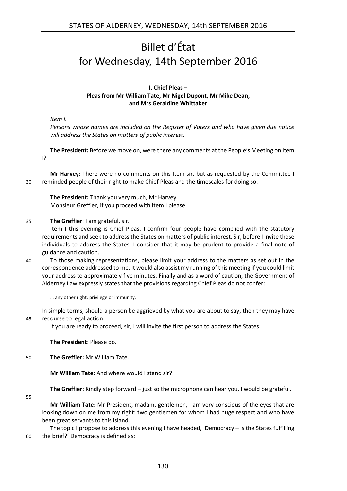# <span id="page-3-0"></span>Billet d'État for Wednesday, 14th September 2016

# **I. Chief Pleas – Pleas from Mr William Tate, Mr Nigel Dupont, Mr Mike Dean, and Mrs Geraldine Whittaker**

<span id="page-3-1"></span>*Item I.*

*Persons whose names are included on the Register of Voters and who have given due notice will address the States on matters of public interest.*

**The President:** Before we move on, were there any comments at the People's Meeting on Item I?

**Mr Harvey:** There were no comments on this Item sir, but as requested by the Committee I 30 reminded people of their right to make Chief Pleas and the timescales for doing so.

**The President:** Thank you very much, Mr Harvey. Monsieur Greffier, if you proceed with Item I please.

35 **The Greffier**: I am grateful, sir.

Item I this evening is Chief Pleas. I confirm four people have complied with the statutory requirements and seek to address the States on matters of public interest. Sir, before I invite those individuals to address the States, I consider that it may be prudent to provide a final note of guidance and caution.

40 To those making representations, please limit your address to the matters as set out in the correspondence addressed to me. It would also assist my running of this meeting if you could limit your address to approximately five minutes. Finally and as a word of caution, the Government of Alderney Law expressly states that the provisions regarding Chief Pleas do not confer:

… any other right, privilege or immunity.

In simple terms, should a person be aggrieved by what you are about to say, then they may have 45 recourse to legal action.

If you are ready to proceed, sir, I will invite the first person to address the States.

**The President**: Please do.

50 **The Greffier:** Mr William Tate.

**Mr William Tate:** And where would I stand sir?

**The Greffier:** Kindly step forward – just so the microphone can hear you, I would be grateful.

55

**Mr William Tate:** Mr President, madam, gentlemen, I am very conscious of the eyes that are looking down on me from my right: two gentlemen for whom I had huge respect and who have been great servants to this Island.

The topic I propose to address this evening I have headed, 'Democracy – is the States fulfilling 60 the brief?' Democracy is defined as: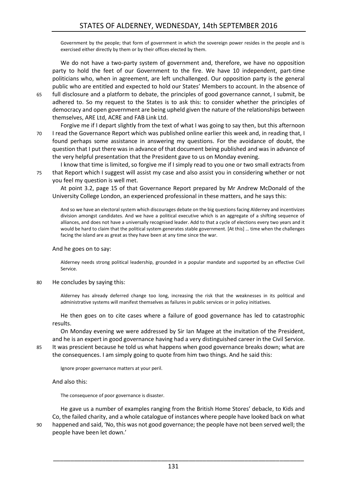Government by the people; that form of government in which the sovereign power resides in the people and is exercised either directly by them or by their offices elected by them.

We do not have a two-party system of government and, therefore, we have no opposition party to hold the feet of our Government to the fire. We have 10 independent, part-time politicians who, when in agreement, are left unchallenged. Our opposition party is the general public who are entitled and expected to hold our States' Members to account. In the absence of

65 full disclosure and a platform to debate, the principles of good governance cannot, I submit, be adhered to. So my request to the States is to ask this: to consider whether the principles of democracy and open government are being upheld given the nature of the relationships between themselves, ARE Ltd, ACRE and FAB Link Ltd.

Forgive me if I depart slightly from the text of what I was going to say then, but this afternoon 70 I read the Governance Report which was published online earlier this week and, in reading that, I found perhaps some assistance in answering my questions. For the avoidance of doubt, the question that I put there was in advance of that document being published and was in advance of the very helpful presentation that the President gave to us on Monday evening.

I know that time is limited, so forgive me if I simply read to you one or two small extracts from 75 that Report which I suggest will assist my case and also assist you in considering whether or not you feel my question is well met.

At point 3.2, page 15 of that Governance Report prepared by Mr Andrew McDonald of the University College London, an experienced professional in these matters, and he says this:

And so we have an electoral system which discourages debate on the big questions facing Alderney and incentivizes division amongst candidates. And we have a political executive which is an aggregate of a shifting sequence of alliances, and does not have a universally recognised leader. Add to that a cycle of elections every two years and it would be hard to claim that the political system generates stable government. [At this] … time when the challenges facing the island are as great as they have been at any time since the war.

And he goes on to say:

Alderney needs strong political leadership, grounded in a popular mandate and supported by an effective Civil Service.

80 He concludes by saying this:

Alderney has already deferred change too long, increasing the risk that the weaknesses in its political and administrative systems will manifest themselves as failures in public services or in policy initiatives.

He then goes on to cite cases where a failure of good governance has led to catastrophic results.

On Monday evening we were addressed by Sir Ian Magee at the invitation of the President, and he is an expert in good governance having had a very distinguished career in the Civil Service. 85 It was prescient because he told us what happens when good governance breaks down; what are

the consequences. I am simply going to quote from him two things. And he said this:

Ignore proper governance matters at your peril.

And also this:

The consequence of poor governance is disaster.

He gave us a number of examples ranging from the British Home Stores' debacle, to Kids and Co, the failed charity, and a whole catalogue of instances where people have looked back on what 90 happened and said, 'No, this was not good governance; the people have not been served well; the people have been let down.'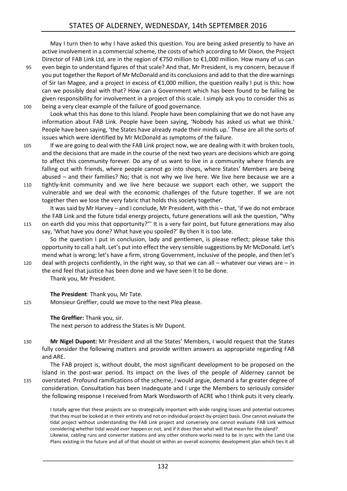May I turn then to why I have asked this question. You are being asked presently to have an active involvement in a commercial scheme, the costs of which according to Mr Dixon, the Project Director of FAB Link Ltd, are in the region of €750 million to €1,000 million. How many of us can 95 even begin to understand figures of that scale? And that, Mr President, is my concern, because if

you put together the Report of Mr McDonald and its conclusions and add to that the dire warnings of Sir Ian Magee, and a project in excess of €1,000 million, the question really I put is this: how can we possibly deal with that? How can a Government which has been found to be failing be given responsibility for involvement in a project of this scale. I simply ask you to consider this as 100 being a very clear example of the failure of good governance.

Look what this has done to this Island. People have been complaining that we do not have any information about FAB Link. People have been saying, 'Nobody has asked us what we think.' People have been saying, 'the States have already made their minds up.' These are all the sorts of issues which were identified by Mr McDonald as symptoms of the failure.

105 If we are going to deal with the FAB Link project now, we are dealing with it with broken tools, and the decisions that are made in the course of the next two years are decisions which are going to affect this community forever. Do any of us want to live in a community where friends are falling out with friends, where people cannot go into shops, where States' Members are being abused – and their families? No; that is not why we live here. We live here because we are a 110 tightly-knit community and we live here because we support each other, we support the vulnerable and we deal with the economic challenges of the future together. If we are not together then we lose the very fabric that holds this society together.

It was said by Mr Harvey – and I conclude, Mr President, with this – that, 'if we do not embrace the FAB Link and the future tidal energy projects, future generations will ask the question, "Why 115 on earth did you miss that opportunity?"' It is a very fair point, but future generations may also

say, 'What have you done? What have you spoiled?' By then it is too late. So the question I put in conclusion, lady and gentlemen, is please reflect; please take this opportunity to call a halt. Let's put into effect the very sensible suggestions by Mr McDonald. Let's mend what is wrong; let's have a firm, strong Government, inclusive of the people, and then let's 120 deal with projects confidently, in the right way, so that we can all – whatever our views are – in

the end feel that justice has been done and we have seen it to be done. Thank you, Mr President.

**The President**: Thank you, Mr Tate.

125 Monsieur Greffier, could we move to the next Plea please.

**The Greffier:** Thank you, sir. The next person to address the States is Mr Dupont.

130 **Mr Nigel Dupont:** Mr President and all the States' Members, I would request that the States fully consider the following matters and provide written answers as appropriate regarding FAB and ARE.

The FAB project is, without doubt, the most significant development to be proposed on the Island in the post-war period. Its impact on the lives of the people of Alderney cannot be 135 overstated. Profound ramifications of the scheme, I would argue, demand a far greater degree of consideration. Consultation has been inadequate and I urge the Members to seriously consider the following response I received from Mark Wordsworth of ACRE who I think puts it very clearly.

I totally agree that these projects are so strategically important with wide ranging issues and potential outcomes that they must be looked at in their entirety and not on individual project-by-project basis. One cannot evaluate the tidal project without understanding the FAB Link project and conversely one cannot evaluate FAB Link without considering whether tidal would ever happen or not, and if it does then what will that mean for the island? Likewise, cabling runs and converter stations and any other onshore works need to be in sync with the Land Use Plans existing in the future and all of that should sit within an overall economic development plan which ties it all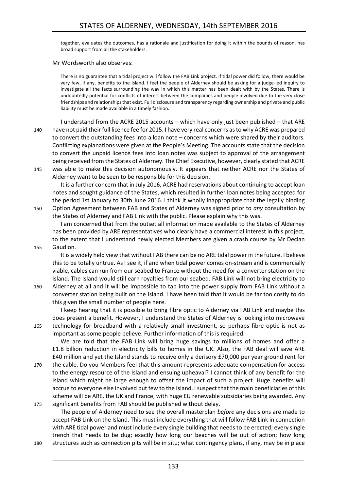together, evaluates the outcomes, has a rationale and justification for doing it within the bounds of reason, has broad support from all the stakeholders.

#### Mr Wordsworth also observes:

There is no guarantee that a tidal project will follow the FAB Link project. If tidal power did follow, there would be very few, if any, benefits to the Island. I feel the people of Alderney should be asking for a judge-led inquiry to investigate all the facts surrounding the way in which this matter has been dealt with by the States. There is undoubtedly potential for conflicts of interest between the companies and people involved due to the very close friendships and relationships that exist. Full disclosure and transparency regarding ownership and private and public liability must be made available in a timely fashion.

I understand from the ACRE 2015 accounts – which have only just been published – that ARE 140 have not paid their full licence fee for 2015. I have very real concerns as to why ACRE was prepared to convert the outstanding fees into a loan note – concerns which were shared by their auditors. Conflicting explanations were given at the People's Meeting. The accounts state that the decision to convert the unpaid licence fees into loan notes was subject to approval of the arrangement being received from the States of Alderney. The Chief Executive, however, clearly stated that ACRE 145 was able to make this decision autonomously. It appears that neither ACRE nor the States of

Alderney want to be seen to be responsible for this decision.

It is a further concern that in July 2016, ACRE had reservations about continuing to accept loan notes and sought guidance of the States, which resulted in further loan notes being accepted for the period 1st January to 30th June 2016. I think it wholly inappropriate that the legally binding 150 Option Agreement between FAB and States of Alderney was signed prior to *any* consultation by the States of Alderney and FAB Link with the public. Please explain why this was.

I am concerned that from the outset all information made available to the States of Alderney has been provided by ARE representatives who clearly have a commercial interest in this project, to the extent that I understand newly elected Members are given a crash course by Mr Declan

155 Gaudion.

It is a widely held view that without FAB there can be no ARE tidal power in the future. I believe this to be totally untrue. As I see it, if and when tidal power comes on-stream and is commercially viable, cables can run from our seabed to France without the need for a converter station on the Island. The Island would still earn royalties from our seabed. FAB Link will not bring electricity to 160 Alderney at all and it will be impossible to tap into the power supply from FAB Link without a converter station being built on the Island. I have been told that it would be far too costly to do

this given the small number of people here.

I keep hearing that it is possible to bring fibre optic to Alderney via FAB Link and maybe this does present a benefit. However, I understand the States of Alderney is looking into microwave 165 technology for broadband with a relatively small investment, so perhaps fibre optic is not as important as some people believe. Further information of this is required.

We are told that the FAB Link will bring huge savings to millions of homes and offer a £1.8 billion reduction in electricity bills to homes in the UK. Also, the FAB deal will save ARE £40 million and yet the Island stands to receive only a derisory £70,000 per year ground rent for 170 the cable. Do you Members feel that this amount represents adequate compensation for access to the energy resource of the Island and ensuing upheaval? I cannot think of any benefit for the Island which might be large enough to offset the impact of such a project. Huge benefits will

accrue to everyone else involved but few to the Island. I suspect that the main beneficiaries of this scheme will be ARE, the UK and France, with huge EU renewable subsidiaries being awarded. Any 175 significant benefits from FAB should be published without delay.

The people of Alderney need to see the overall masterplan *before* any decisions are made to accept FAB Link on the Island. This must include everything that will follow FAB Link in connection with ARE tidal power and must include every single building that needs to be erected; every single trench that needs to be dug; exactly how long our beaches will be out of action; how long 180 structures such as connection pits will be in situ; what contingency plans, if any, may be in place

133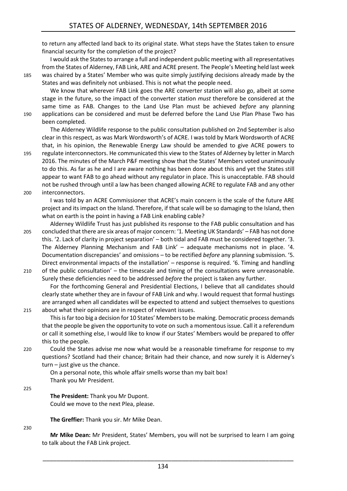to return any affected land back to its original state. What steps have the States taken to ensure financial security for the completion of the project?

I would ask the States to arrange a full and independent public meeting with all representatives from the States of Alderney, FAB Link, ARE and ACRE present. The People's Meeting held last week 185 was chaired by a States' Member who was quite simply justifying decisions already made by the States and was definitely not unbiased. This is not what the people need.

We know that wherever FAB Link goes the ARE converter station will also go, albeit at some stage in the future, so the impact of the converter station *must* therefore be considered at the same time as FAB. Changes to the Land Use Plan must be achieved *before* any planning 190 applications can be considered and must be deferred before the Land Use Plan Phase Two has been completed.

The Alderney Wildlife response to the public consultation published on 2nd September is also clear in this respect, as was Mark Wordsworth's of ACRE. I was told by Mark Wordsworth of ACRE that, in his opinion, the Renewable Energy Law should be amended to give ACRE powers to

195 regulate interconnectors. He communicated this view to the States of Alderney by letter in March 2016. The minutes of the March P&F meeting show that the States' Members voted unanimously to do this. As far as he and I are aware nothing has been done about this and yet the States still appear to want FAB to go ahead without any regulator in place. This is unacceptable. FAB should not be rushed through until a law has been changed allowing ACRE to regulate FAB and any other 200 interconnectors.

I was told by an ACRE Commissioner that ACRE's main concern is the scale of the future ARE project and its impact on the Island. Therefore, if that scale will be so damaging to the Island, then what on earth is the point in having a FAB Link enabling cable?

- Alderney Wildlife Trust has just published its response to the FAB public consultation and has 205 concluded that there are six areas of major concern: '1. Meeting UK Standards' – FAB has not done this. '2. Lack of clarity in project separation' – both tidal and FAB must be considered together. '3. The Alderney Planning Mechanism and FAB Link' – adequate mechanisms not in place. '4. Documentation discrepancies' and omissions – to be rectified *before* any planning submission. '5. Direct environmental impacts of the installation' – response is required. '6. Timing and handling
- 210 of the public consultation' the timescale and timing of the consultations were unreasonable. Surely these deficiencies need to be addressed *before* the project is taken any further.

For the forthcoming General and Presidential Elections, I believe that all candidates should clearly state whether they are in favour of FAB Link and why. I would request that formal hustings are arranged when all candidates will be expected to attend and subject themselves to questions 215 about what their opinions are in respect of relevant issues.

This is far too big a decision for 10 States' Members to be making. Democratic process demands that the people be given the opportunity to vote on such a momentous issue. Call it a referendum or call it something else, I would like to know if our States' Members would be prepared to offer this to the people.

220 Could the States advise me now what would be a reasonable timeframe for response to my questions? Scotland had their chance; Britain had their chance, and now surely it is Alderney's turn – just give us the chance.

On a personal note, this whole affair smells worse than my bait box! Thank you Mr President.

225

**The President:** Thank you Mr Dupont.

Could we move to the next Plea, please.

**The Greffier:** Thank you sir. Mr Mike Dean.

230

**Mr Mike Dean:** Mr President, States' Members, you will not be surprised to learn I am going to talk about the FAB Link project.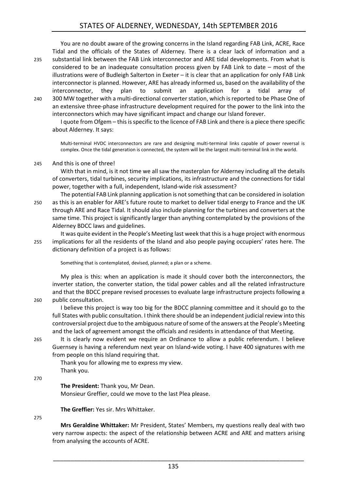You are no doubt aware of the growing concerns in the Island regarding FAB Link, ACRE, Race Tidal and the officials of the States of Alderney. There is a clear lack of information and a

- 235 substantial link between the FAB Link interconnector and ARE tidal developments. From what is considered to be an inadequate consultation process given by FAB Link to date – most of the illustrations were of Budleigh Salterton in Exeter – it is clear that an application for only FAB Link interconnector is planned. However, ARE has already informed us, based on the availability of the interconnector, they plan to submit an application for a tidal array of
- 240 300 MW together with a multi-directional converter station, which is reported to be Phase One of an extensive three-phase infrastructure development required for the power to the link into the interconnectors which may have significant impact and change our Island forever.

I quote from Ofgem – this is specific to the licence of FAB Link and there is a piece there specific about Alderney. It says:

Multi-terminal HVDC interconnectors are rare and designing multi-terminal links capable of power reversal is complex. Once the tidal generation is connected, the system will be the largest multi-terminal link in the world.

245 And this is one of three!

With that in mind, is it not time we all saw the masterplan for Alderney including all the details of converters, tidal turbines, security implications, its infrastructure and the connections for tidal power, together with a full, independent, Island-wide risk assessment?

- The potential FAB Link planning application is not something that can be considered in isolation 250 as this is an enabler for ARE's future route to market to deliver tidal energy to France and the UK through ARE and Race Tidal. It should also include planning for the turbines and converters at the same time. This project is significantly larger than anything contemplated by the provisions of the Alderney BDCC laws and guidelines.
- It was quite evident in the People's Meeting last week that this is a huge project with enormous 255 implications for all the residents of the Island and also people paying occupiers' rates here. The dictionary definition of a project is as follows:

Something that is contemplated, devised, planned; a plan or a scheme.

My plea is this: when an application is made it should cover both the interconnectors, the inverter station, the converter station, the tidal power cables and all the related infrastructure and that the BDCC prepare revised processes to evaluate large infrastructure projects following a 260 public consultation.

I believe this project is way too big for the BDCC planning committee and it should go to the full States with public consultation. I think there should be an independent judicial review into this controversial project due to the ambiguous nature of some of the answers at the People's Meeting and the lack of agreement amongst the officials and residents in attendance of that Meeting.

265 It is clearly now evident we require an Ordinance to allow a public referendum. I believe Guernsey is having a referendum next year on Island-wide voting. I have 400 signatures with me from people on this Island requiring that.

Thank you for allowing me to express my view. Thank you.

270

**The President:** Thank you, Mr Dean.

Monsieur Greffier, could we move to the last Plea please.

**The Greffier:** Yes sir. Mrs Whittaker.

275

**Mrs Geraldine Whittaker:** Mr President, States' Members, my questions really deal with two very narrow aspects: the aspect of the relationship between ACRE and ARE and matters arising from analysing the accounts of ACRE.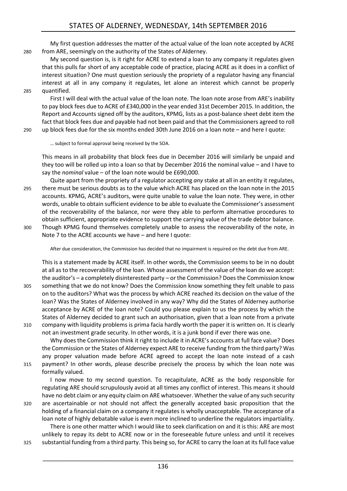My first question addresses the matter of the actual value of the loan note accepted by ACRE 280 from ARE, seemingly on the authority of the States of Alderney.

My second question is, is it right for ACRE to extend a loan to any company it regulates given that this pulls far short of any acceptable code of practice, placing ACRE as it does in a conflict of interest situation? One must question seriously the propriety of a regulator having any financial interest at all in any company it regulates, let alone an interest which cannot be properly 285 quantified.

First I will deal with the actual value of the loan note. The loan note arose from ARE's inability to pay block fees due to ACRE of £340,000 in the year ended 31st December 2015. In addition, the Report and Accounts signed off by the auditors, KPMG, lists as a post-balance sheet debt item the fact that block fees due and payable had not been paid and that the Commissioners agreed to roll 290 up block fees due for the six months ended 30th June 2016 on a loan note – and here I quote:

… subject to formal approval being received by the SOA.

This means in all probability that block fees due in December 2016 will similarly be unpaid and they too will be rolled up into a loan so that by December 2016 the nominal value – and I have to say the *nominal* value – of the loan note would be £690,000.

Quite apart from the propriety of a regulator accepting *any* stake at all in an entity it regulates, 295 there must be serious doubts as to the value which ACRE has placed on the loan note in the 2015 accounts. KPMG, ACRE's auditors, were quite unable to value the loan note. They were, in other words, unable to obtain sufficient evidence to be able to evaluate the Commissioner's assessment of the recoverability of the balance, nor were they able to perform alternative procedures to obtain sufficient, appropriate evidence to support the carrying value of the trade debtor balance.

300 Though KPMG found themselves completely unable to assess the recoverability of the note, in Note 7 to the ACRE accounts we have – and here I quote:

After due consideration, the Commission has decided that no impairment is required on the debt due from ARE.

This is a statement made by ACRE itself. In other words, the Commission seems to be in no doubt at all as to the recoverability of the loan. Whose assessment of the value of the loan do we accept: the auditor's – a completely disinterested party – or the Commission? Does the Commission know 305 something that we do not know? Does the Commission know something they felt unable to pass on to the auditors? What was the process by which ACRE reached its decision on the value of the loan? Was the States of Alderney involved in any way? Why did the States of Alderney authorise acceptance by ACRE of the loan note? Could you please explain to us the process by which the States of Alderney decided to grant such an authorisation, given that a loan note from a private 310 company with liquidity problems is prima facia hardly worth the paper it is written on. It is clearly not an investment grade security. In other words, it is a junk bond if ever there was one.

Why does the Commission think it right to include it in ACRE's accounts at full face value? Does the Commission or the States of Alderney expect ARE to receive funding from the third party? Was any proper valuation made before ACRE agreed to accept the loan note instead of a cash 315 payment? In other words, please describe precisely the process by which the loan note was formally valued.

I now move to my second question. To recapitulate, ACRE as the body responsible for regulating ARE should scrupulously avoid at all times any conflict of interest. This means it should have no debt claim or any equity claim on ARE whatsoever. Whether the value of any such security

320 are ascertainable or not should not affect the generally accepted basic proposition that the holding of a financial claim on a company it regulates is wholly unacceptable. The acceptance of a loan note of highly debatable value is even more inclined to underline the regulators impartiality. There is one other matter which I would like to seek clarification on and it is this: ARE are most

unlikely to repay its debt to ACRE now or in the foreseeable future unless and until it receives 325 substantial funding from a third party. This being so, for ACRE to carry the loan at its full face value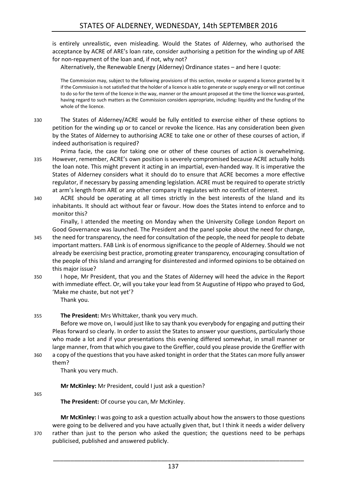is entirely unrealistic, even misleading. Would the States of Alderney, who authorised the acceptance by ACRE of ARE's loan rate, consider authorising a petition for the winding up of ARE for non-repayment of the loan and, if not, why not?

Alternatively, the Renewable Energy (Alderney) Ordinance states – and here I quote:

The Commission may, subject to the following provisions of this section, revoke or suspend a licence granted by it if the Commission is not satisfied that the holder of a licence is able to generate or supply energy or will not continue to do so for the term of the licence in the way, manner or the amount proposed at the time the licence was granted, having regard to such matters as the Commission considers appropriate, including: liquidity and the funding of the whole of the licence.

- 330 The States of Alderney/ACRE would be fully entitled to exercise either of these options to petition for the winding up or to cancel or revoke the licence. Has any consideration been given by the States of Alderney to authorising ACRE to take one or other of these courses of action, if indeed authorisation is required?
- Prima facie, the case for taking one or other of these courses of action is overwhelming. 335 However, remember, ACRE's own position is severely compromised because ACRE actually holds the loan note. This might prevent it acting in an impartial, even-handed way. It is imperative the States of Alderney considers what it should do to ensure that ACRE becomes a more effective regulator, if necessary by passing amending legislation. ACRE must be required to operate strictly at arm's length from ARE or any other company it regulates with *no* conflict of interest.
- 340 ACRE should be operating at all times strictly in the best interests of the Island and its inhabitants. It should act without fear or favour. How does the States intend to enforce and to monitor this?

Finally, I attended the meeting on Monday when the University College London Report on Good Governance was launched. The President and the panel spoke about the need for change,

- 345 the need for transparency, the need for consultation of the people, the need for people to debate important matters. FAB Link is of enormous significance to the people of Alderney. Should we not already be exercising best practice, promoting greater transparency, encouraging consultation of the people of this Island and arranging for disinterested and informed opinions to be obtained on this major issue?
- 350 I hope, Mr President, that you and the States of Alderney will heed the advice in the Report with immediate effect. Or, will you take your lead from St Augustine of Hippo who prayed to God, 'Make me chaste, but not yet'?

Thank you.

# 355 **The President:** Mrs Whittaker, thank you very much.

Before we move on, I would just like to say thank you everybody for engaging and putting their Pleas forward so clearly. In order to assist the States to answer your questions, particularly those who made a lot and if your presentations this evening differed somewhat, in small manner or large manner, from that which you gave to the Greffier, could you please provide the Greffier with 360 a copy of the questions that you have asked tonight in order that the States can more fully answer

them?

Thank you very much.

**Mr McKinley:** Mr President, could I just ask a question?

#### 365

**The President:** Of course you can, Mr McKinley.

**Mr McKinley:** I was going to ask a question actually about how the answers to those questions were going to be delivered and you have actually given that, but I think it needs a wider delivery 370 rather than just to the person who asked the question; the questions need to be perhaps publicised, published and answered publicly.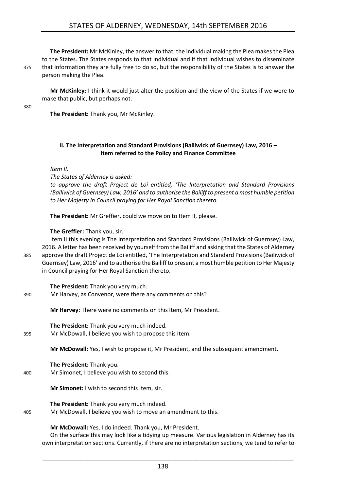**The President:** Mr McKinley, the answer to that: the individual making the Plea makes the Plea to the States. The States responds to that individual and if that individual wishes to disseminate 375 that information they are fully free to do so, but the responsibility of the States is to answer the person making the Plea.

**Mr McKinley:** I think it would just alter the position and the view of the States if we were to make that public, but perhaps not.

380

**The President:** Thank you, Mr McKinley.

# <span id="page-11-0"></span>**II. The Interpretation and Standard Provisions (Bailiwick of Guernsey) Law, 2016 – Item referred to the Policy and Finance Committee**

*Item II.*

*The States of Alderney is asked:* 

*to approve the draft Project de Loi entitled, 'The Interpretation and Standard Provisions (Bailiwick of Guernsey) Law, 2016' and to authorise the Bailiff to present a most humble petition to Her Majesty in Council praying for Her Royal Sanction thereto.*

**The President:** Mr Greffier, could we move on to Item II, please.

### **The Greffier:** Thank you, sir.

Item II this evening is The Interpretation and Standard Provisions (Bailiwick of Guernsey) Law, 2016. A letter has been received by yourself from the Bailiff and asking that the States of Alderney 385 approve the draft Project de Loi entitled, 'The Interpretation and Standard Provisions (Bailiwick of Guernsey) Law, 2016' and to authorise the Bailiff to present a most humble petition to Her Majesty in Council praying for Her Royal Sanction thereto.

**The President:** Thank you very much.

390 Mr Harvey, as Convenor, were there any comments on this?

**Mr Harvey:** There were no comments on this Item, Mr President.

**The President:** Thank you very much indeed. 395 Mr McDowall, I believe you wish to propose this Item.

**Mr McDowall:** Yes, I wish to propose it, Mr President, and the subsequent amendment.

**The President:** Thank you. 400 Mr Simonet, I believe you wish to second this.

**Mr Simonet:** I wish to second this Item, sir.

**The President:** Thank you very much indeed.

405 Mr McDowall, I believe you wish to move an amendment to this.

**Mr McDowall:** Yes, I do indeed. Thank you, Mr President.

On the surface this may look like a tidying up measure. Various legislation in Alderney has its own interpretation sections. Currently, if there are no interpretation sections, we tend to refer to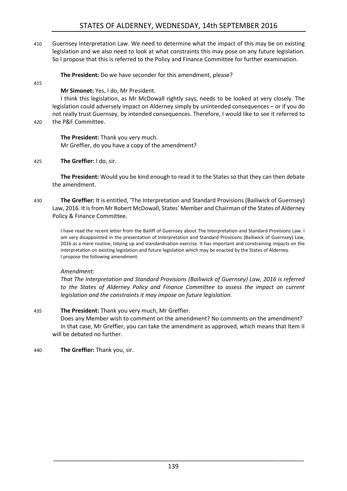410 Guernsey Interpretation Law. We need to determine what the impact of this may be on existing legislation and we also need to look at what constraints this may pose on any future legislation. So I propose that this is referred to the Policy and Finance Committee for further examination.

**The President:** Do we have seconder for this amendment, please?

415

# **Mr Simonet:** Yes, I do, Mr President.

I think this legislation, as Mr McDowall rightly says, needs to be looked at very closely. The legislation could adversely impact on Alderney simply by unintended consequences – or if you do not really trust Guernsey, by intended consequences. Therefore, I would like to see it referred to

420 the P&F Committee.

**The President:** Thank you very much. Mr Greffier, do you have a copy of the amendment?

425 **The Greffier:** I do, sir.

**The President:** Would you be kind enough to read it to the States so that they can then debate the amendment.

430 **The Greffier:** It is entitled, 'The Interpretation and Standard Provisions (Bailiwick of Guernsey) Law, 2016. It is from Mr Robert McDowall, States' Member and Chairman of the States of Alderney Policy & Finance Committee.

I have read the recent letter from the Bailiff of Guernsey about The Interpretation and Standard Provisions Law. I am very disappointed in the presentation of Interpretation and Standard Provisions (Bailiwick of Guernsey) Law, 2016 as a mere routine, tidying up and standardisation exercise. It has important and constraining impacts on the interpretation on existing legislation and future legislation which may be enacted by the States of Alderney. I propose the following amendment:

# *Amendment:*

*That The Interpretation and Standard Provisions (Bailiwick of Guernsey) Law, 2016 is referred to the States of Alderney Policy and Finance Committee to assess the impact on current legislation and the constraints it may impose on future legislation.* 

# 435 **The President:** Thank you very much, Mr Greffier.

Does any Member wish to comment on the amendment? No comments on the amendment? In that case, Mr Greffier, you can take the amendment as approved, which means that Item II will be debated no further.

<span id="page-12-0"></span>440 **The Greffier:** Thank you, sir.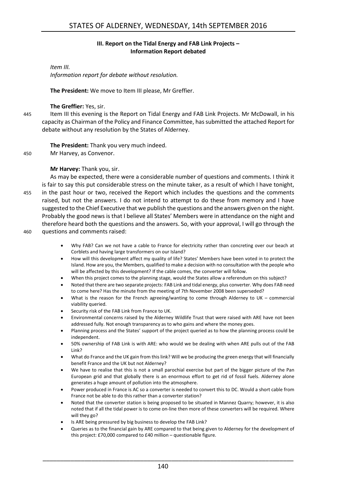### **III. Report on the Tidal Energy and FAB Link Projects – Information Report debated**

# *Item III.*

*Information report for debate without resolution.*

**The President:** We move to Item III please, Mr Greffier.

### **The Greffier:** Yes, sir.

445 Item III this evening is the Report on Tidal Energy and FAB Link Projects. Mr McDowall, in his capacity as Chairman of the Policy and Finance Committee, has submitted the attached Report for debate without any resolution by the States of Alderney.

**The President:** Thank you very much indeed.

450 Mr Harvey, as Convenor.

# **Mr Harvey:** Thank you, sir.

As may be expected, there were a considerable number of questions and comments. I think it is fair to say this put considerable stress on the minute taker, as a result of which I have tonight, 455 in the past hour or two, received the Report which includes the questions and the comments raised, but not the answers. I do not intend to attempt to do these from memory and I have suggested to the Chief Executive that we publish the questions and the answers given on the night. Probably the good news is that I believe all States' Members were in attendance on the night and therefore heard both the questions and the answers. So, with your approval, I will go through the 460 questions and comments raised:

- Why FAB? Can we not have a cable to France for electricity rather than concreting over our beach at Corblets and having large transformers on our Island?
- How will this development affect my quality of life? States' Members have been voted in to protect the Island. How are you, the Members, qualified to make a decision with no consultation with the people who will be affected by this development? If the cable comes, the converter will follow.
- When this project comes to the planning stage, would the States allow a referendum on this subject?
- Noted that there are two separate projects: FAB Link and tidal energy, plus converter. Why does FAB need to come here? Has the minute from the meeting of 7th November 2008 been superseded?
- What is the reason for the French agreeing/wanting to come through Alderney to UK commercial viability queried.
- Security risk of the FAB Link from France to UK.
- Environmental concerns raised by the Alderney Wildlife Trust that were raised with ARE have not been addressed fully. Not enough transparency as to who gains and where the money goes.
- Planning process and the States' support of the project queried as to how the planning process could be independent.
- 50% ownership of FAB Link is with ARE: who would we be dealing with when ARE pulls out of the FAB Link?
- What do France and the UK gain from this link? Will we be producing the green energy that will financially benefit France and the UK but not Alderney?
- We have to realise that this is not a small parochial exercise but part of the bigger picture of the Pan European grid and that globally there is an enormous effort to get rid of fossil fuels. Alderney alone generates a huge amount of pollution into the atmosphere.
- Power produced in France is AC so a converter is needed to convert this to DC. Would a short cable from France not be able to do this rather than a converter station?
- Noted that the converter station is being proposed to be situated in Mannez Quarry; however, it is also noted that if all the tidal power is to come on-line then more of these converters will be required. Where will they go?
- Is ARE being pressured by big business to develop the FAB Link?
- Queries as to the financial gain by ARE compared to that being given to Alderney for the development of this project: £70,000 compared to £40 million – questionable figure.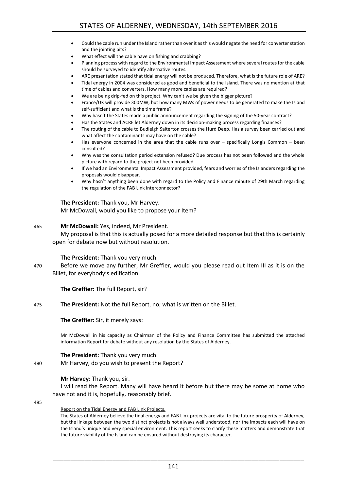- Could the cable run under the Island rather than over it as this would negate the need for converter station and the jointing pits?
- What effect will the cable have on fishing and crabbing?
- Planning process with regard to the Environmental Impact Assessment where several routes for the cable should be surveyed to identify alternative routes.
- ARE presentation stated that tidal energy will not be produced. Therefore, what is the future role of ARE?
- Tidal energy in 2004 was considered as good and beneficial to the Island. There was no mention at that time of cables and converters. How many more cables are required?
- We are being drip-fed on this project. Why can't we be given the bigger picture?
- France/UK will provide 300MW, but how many MWs of power needs to be generated to make the Island self-sufficient and what is the time frame?
- Why hasn't the States made a public announcement regarding the signing of the 50-year contract?
- Has the States and ACRE let Alderney down in its decision-making process regarding finances?
- The routing of the cable to Budleigh Salterton crosses the Hurd Deep. Has a survey been carried out and what affect the contaminants may have on the cable?
- Has everyone concerned in the area that the cable runs over specifically Longis Common been consulted?
- Why was the consultation period extension refused? Due process has not been followed and the whole picture with regard to the project not been provided.
- If we had an Environmental Impact Assessment provided, fears and worries of the Islanders regarding the proposals would disappear.
- Why hasn't anything been done with regard to the Policy and Finance minute of 29th March regarding the regulation of the FAB Link interconnector?

#### **The President:** Thank you, Mr Harvey.

Mr McDowall, would you like to propose your Item?

#### 465 **Mr McDowall:** Yes, indeed, Mr President.

My proposal is that this is actually posed for a more detailed response but that this is certainly open for debate now but without resolution.

#### **The President:** Thank you very much.

470 Before we move any further, Mr Greffier, would you please read out Item III as it is on the Billet, for everybody's edification.

**The Greffier:** The full Report, sir?

#### 475 **The President:** Not the full Report, no; what is written on the Billet.

**The Greffier:** Sir, it merely says:

Mr McDowall in his capacity as Chairman of the Policy and Finance Committee has submitted the attached information Report for debate without any resolution by the States of Alderney.

#### **The President:** Thank you very much.

480 Mr Harvey, do you wish to present the Report?

#### **Mr Harvey:** Thank you, sir.

I will read the Report. Many will have heard it before but there may be some at home who have not and it is, hopefully, reasonably brief.

485

#### Report on the Tidal Energy and FAB Link Projects.

The States of Alderney believe the tidal energy and FAB Link projects are vital to the future prosperity of Alderney, but the linkage between the two distinct projects is not always well understood, nor the impacts each will have on the Island's unique and very special environment. This report seeks to clarify these matters and demonstrate that the future viability of the Island can be ensured without destroying its character.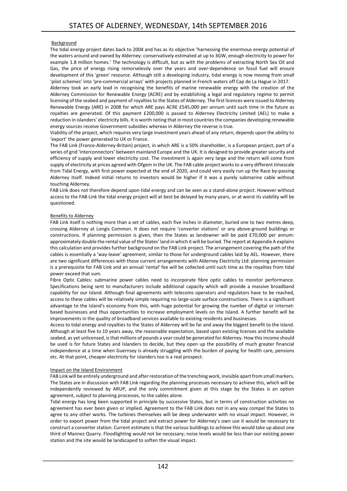#### Background

The tidal energy project dates back to 2004 and has as its objective 'harnessing the enormous energy potential of the waters around and owned by Alderney: conservatively estimated at up to 3GW, enough electricity to power for example 1.8 million homes.' The technology is difficult, but as with the problems of extracting North Sea Oil and Gas, the price of energy rising remorselessly over the years and over-dependence on fossil fuel will ensure development of this 'green' resource. Although still a developing industry, tidal energy is now moving from small 'pilot schemes' into 'pre-commercial arrays' with projects planned in French waters off Cap de La Hague in 2017.

Alderney took an early lead in recognising the benefits of marine renewable energy with the creation of the Alderney Commission for Renewable Energy (ACRE) and by establishing a legal and regulatory regime to permit licensing of the seabed and payment of royalties to the States of Alderney. The first licences were issued to Alderney Renewable Energy (ARE) in 2008 for which ARE pays ACRE £545,000 per annum until such time in the future as royalties are generated. Of this payment £200,000 is passed to Alderney Electricity Limited (AEL) to make a reduction in islanders' electricity bills. It is worth noting that in most countries the companies developing renewable energy sources receive Government subsidies whereas in Alderney the reverse is true.

Viability of the project, which requires very large investment years ahead of any return, depends upon the ability to 'export' the power generated to UK or France.

The FAB Link (France-Alderney-Britain) project, in which ARE is a 50% shareholder, is a European project, part of a series of grid 'interconnectors' between mainland Europe and the UK. It is designed to provide greater security and efficiency of supply and lower electricity cost. The investment is again very large and the return will come from supply of electricity at prices agreed with Ofgem in the UK. The FAB cable project works to a very different timescale from Tidal Energy, with first power expected at the end of 2020, and could very easily run up the Race by-passing Alderney itself. Indeed initial returns to investors would be higher if it was a purely submarine cable without touching Alderney.

FAB Link does not therefore depend upon tidal energy and can be seen as a stand-alone project. However without access to the FAB Link the tidal energy project will at best be delayed by many years, or at worst its viability will be questioned.

#### Benefits to Alderney

FAB Link itself is nothing more than a set of cables, each five inches in diameter, buried one to two metres deep, crossing Alderney at Longis Common. It does not require 'converter stations' or any above-ground buildings or constructions. If planning permission is given, then the States as landowner will be paid £70,000 per annum: approximately double the rental value of the States' land in which it will be buried. The report at Appendix A explains this calculation and provides further background on the FAB Link project. The arrangement covering the path of the cables is essentially a 'way-leave' agreement, similar to those for underground cables laid by AEL. However, there are two significant differences with those current arrangements with Alderney Electricity Ltd: planning permission is a prerequisite for FAB Link and an annual 'rental' fee will be collected until such time as the royalties from tidal power exceed that sum.

Fibre Optic Cables: submarine power cables need to incorporate fibre optic cables to monitor performance. Specifications being sent to manufacturers include additional capacity which will provide a massive broadband capability for our Island. Although final agreements with telecoms operators and regulators have to be reached, access to these cables will be relatively simple requiring no large-scale surface constructions. There is a significant advantage to the Island's economy from this, with huge potential for growing the number of digital or internetbased businesses and thus opportunities to increase employment levels on the Island. A further benefit will be improvements in the quality of broadband services available to existing residents and businesses.

Access to tidal energy and royalties to the States of Alderney will be far and away the biggest benefit to the Island. Although at least five to 10 years away, the reasonable expectation, based upon existing licenses and the available seabed, as yet unlicensed, is that millions of pounds a year could be generated for Alderney. How this income should be used is for future States and Islanders to decide, but they open up the possibility of much greater financial independence at a time when Guernsey is already struggling with the burden of paying for health care, pensions etc. At that point, cheaper electricity for islanders too is a real prospect.

#### Impact on the Island Environment

FAB Link will be entirely underground and after restoration of the trenching work, invisible apart from small markers. The States are in discussion with FAB Link regarding the planning processes necessary to achieve this, which will be independently reviewed by ARUP, and the only commitment given at this stage by the States is an option agreement, subject to planning processes, to the cables alone.

Tidal energy has long been supported in principle by successive States, but in terms of construction activities no agreement has ever been given or implied. Agreement to the FAB Link does not in any way compel the States to agree to any other works. The turbines themselves will be deep underwater with no visual impact. However, in order to export power from the tidal project and extract power for Alderney's own use it would be necessary to construct a converter station. Current estimate is that the various buildings to achieve this would take up about one third of Mannez Quarry. Floodlighting would not be necessary; noise levels would be less than our existing power station and the site would be landscaped to soften the visual impact.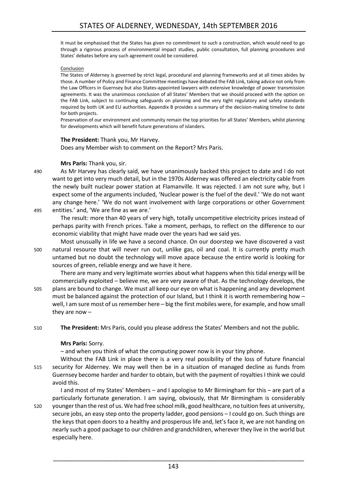It must be emphasised that the States has given no commitment to such a construction, which would need to go through a rigorous process of environmental impact studies, public consultation, full planning procedures and States' debates before any such agreement could be considered.

#### Conclusion

The States of Alderney is governed by strict legal, procedural and planning frameworks and at all times abides by those. A number of Policy and Finance Committee meetings have debated the FAB Link, taking advice not only from the Law Officers in Guernsey but also States-appointed lawyers with extensive knowledge of power transmission agreements. It was the unanimous conclusion of all States' Members that we should proceed with the option on the FAB Link, subject to continuing safeguards on planning and the very tight regulatory and safety standards required by both UK and EU authorities. Appendix B provides a summary of the decision-making timeline to date for both projects.

Preservation of our environment and community remain the top priorities for all States' Members, whilst planning for developments which will benefit future generations of islanders.

#### **The President:** Thank you, Mr Harvey.

Does any Member wish to comment on the Report? Mrs Paris.

# **Mrs Paris:** Thank you, sir.

490 As Mr Harvey has clearly said, we have unanimously backed this project to date and I do not want to get into very much detail, but in the 1970s Alderney was offered an electricity cable from the newly built nuclear power station at Flamanville. It was rejected. I am not sure why, but I expect some of the arguments included, 'Nuclear power is the fuel of the devil.' 'We do not want any change here.' 'We do not want involvement with large corporations or other Government 495 entities.' and, 'We are fine as we are.'

The result: more than 40 years of very high, totally uncompetitive electricity prices instead of perhaps parity with French prices. Take a moment, perhaps, to reflect on the difference to our economic viability that might have made over the years had we said yes.

Most unusually in life we have a second chance. On our doorstep we have discovered a vast 500 natural resource that will never run out, unlike gas, oil and coal. It is currently pretty much untamed but no doubt the technology will move apace because the entire world is looking for sources of green, reliable energy and we have it here.

There are many and very legitimate worries about what happens when this tidal energy will be commercially exploited – believe me, we are very aware of that. As the technology develops, the 505 plans are bound to change. We must all keep our eye on what is happening and any development must be balanced against the protection of our Island, but I think it is worth remembering how well, I am sure most of us remember here – big the first mobiles were, for example, and how small they are now –

510 **The President:** Mrs Paris, could you please address the States' Members and not the public.

# **Mrs Paris:** Sorry.

– and when you think of what the computing power now is in your tiny phone.

Without the FAB Link in place there is a very real possibility of the loss of future financial 515 security for Alderney. We may well then be in a situation of managed decline as funds from Guernsey become harder and harder to obtain, but with the payment of royalties I think we could avoid this.

I and most of my States' Members – and I apologise to Mr Birmingham for this – are part of a particularly fortunate generation. I am saying, obviously, that Mr Birmingham is considerably 520 younger than the rest of us. We had free school milk, good healthcare, no tuition fees at university, secure jobs, an easy step onto the property ladder, good pensions – I could go on. Such things are the keys that open doors to a healthy and prosperous life and, let's face it, we are not handing on nearly such a good package to our children and grandchildren, wherever they live in the world but especially here.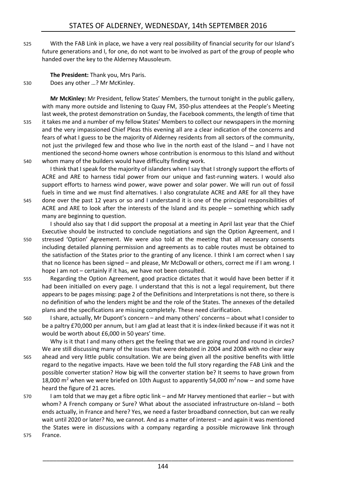525 With the FAB Link in place, we have a very real possibility of financial security for our Island's future generations and I, for one, do not want to be involved as part of the group of people who handed over the key to the Alderney Mausoleum.

**The President:** Thank you, Mrs Paris. 530 Does any other …? Mr McKinley.

**Mr McKinley:** Mr President, fellow States' Members, the turnout tonight in the public gallery, with many more outside and listening to Quay FM, 350-plus attendees at the People's Meeting last week, the protest demonstration on Sunday, the Facebook comments, the length of time that 535 it takes me and a number of my fellow States' Members to collect our newspapers in the morning and the very impassioned Chief Pleas this evening all are a clear indication of the concerns and fears of what I guess to be the majority of Alderney residents from all sectors of the community, not just the privileged few and those who live in the north east of the Island – and I have not mentioned the second-home owners whose contribution is enormous to this Island and without 540 whom many of the builders would have difficulty finding work.

I think that I speak for the majority of islanders when I say that I strongly support the efforts of ACRE and ARE to harness tidal power from our unique and fast-running waters. I would also support efforts to harness wind power, wave power and solar power. We will run out of fossil fuels in time and we must find alternatives. I also congratulate ACRE and ARE for all they have 545 done over the past 12 years or so and I understand it is one of the principal responsibilities of ACRE and ARE to look after the interests of the Island and its people – something which sadly many are beginning to question.

I should also say that I did support the proposal at a meeting in April last year that the Chief Executive should be instructed to conclude negotiations and sign the Option Agreement, and I 550 stressed 'Option' Agreement. We were also told at the meeting that all necessary consents including detailed planning permission and agreements as to cable routes must be obtained to the satisfaction of the States prior to the granting of any licence. I think I am correct when I say that no licence has been signed – and please, Mr McDowall or others, correct me if I am wrong. I hope I am not – certainly if it has, we have not been consulted.

- 555 Regarding the Option Agreement, good practice dictates that it would have been better if it had been initialled on every page. I understand that this is not a legal requirement, but there appears to be pages missing: page 2 of the Definitions and Interpretations is not there, so there is no definition of who the lenders might be and the role of the States. The annexes of the detailed plans and the specifications are missing completely. These need clarification.
- 560 I share, actually, Mr Dupont's concern and many others' concerns about what I consider to be a paltry £70,000 per annum, but I am glad at least that it is index-linked because if it was not it would be worth about £6,000 in 50 years' time.

Why is it that I and many others get the feeling that we are going round and round in circles? We are still discussing many of the issues that were debated in 2004 and 2008 with no clear way 565 ahead and very little public consultation. We are being given all the positive benefits with little regard to the negative impacts. Have we been told the full story regarding the FAB Link and the possible converter station? How big will the converter station be? It seems to have grown from 18,000 m<sup>2</sup> when we were briefed on 10th August to apparently 54,000 m<sup>2</sup> now – and some have heard the figure of 21 acres.

- 570 I am told that we may get a fibre optic link and Mr Harvey mentioned that earlier but with whom? A French company or Sure? What about the associated infrastructure on-Island – both ends actually, in France and here? Yes, we need a faster broadband connection, but can we really wait until 2020 or later? No, we cannot. And as a matter of interest – and again it was mentioned the States were in discussions with a company regarding a possible microwave link through
- 575 France.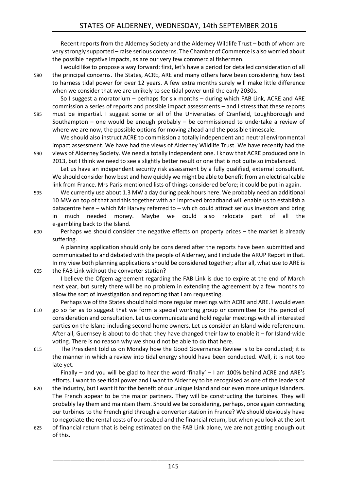Recent reports from the Alderney Society and the Alderney Wildlife Trust – both of whom are very strongly supported – raise serious concerns. The Chamber of Commerce is also worried about the possible negative impacts, as are our very few commercial fishermen.

I would like to propose a way forward: first, let's have a period for detailed consideration of all 580 the principal concerns. The States, ACRE, ARE and many others have been considering how best to harness tidal power for over 12 years. A few extra months surely will make little difference when we consider that we are unlikely to see tidal power until the early 2030s.

So I suggest a moratorium – perhaps for six months – during which FAB Link, ACRE and ARE commission a series of reports and possible impact assessments – and I stress that these reports 585 must be impartial. I suggest some or all of the Universities of Cranfield, Loughborough and Southampton – one would be enough probably – be commissioned to undertake a review of where we are now, the possible options for moving ahead and the possible timescale.

We should also instruct ACRE to commission a totally independent and neutral environmental impact assessment. We have had the views of Alderney Wildlife Trust. We have recently had the 590 views of Alderney Society. We need a totally independent one. I know that ACRE produced one in 2013, but I think we need to see a slightly better result or one that is not quite so imbalanced.

Let us have an independent security risk assessment by a fully qualified, external consultant. We should consider how best and how quickly we might be able to benefit from an electrical cable link from France. Mrs Paris mentioned lists of things considered before; it could be put in again.

595 We currently use about 1.3 MW a day during peak hours here. We probably need an additional 10 MW on top of that and this together with an improved broadband will enable us to establish a datacentre here – which Mr Harvey referred to – which could attract serious investors and bring in much needed money. Maybe we could also relocate part of all the e-gambling back to the Island.

600 Perhaps we should consider the negative effects on property prices – the market is already suffering.

A planning application should only be considered after the reports have been submitted and communicated to and debated with the people of Alderney, and I include the ARUP Report in that. In my view both planning applications should be considered together; after all, what use to ARE is 605 the FAB Link without the converter station?

I believe the Ofgem agreement regarding the FAB Link is due to expire at the end of March next year, but surely there will be no problem in extending the agreement by a few months to allow the sort of investigation and reporting that I am requesting.

Perhaps we of the States should hold more regular meetings with ACRE and ARE. I would even 610 go so far as to suggest that we form a special working group or committee for this period of consideration and consultation. Let us communicate and hold regular meetings with all interested parties on the Island including second-home owners. Let us consider an Island-wide referendum. After all, Guernsey is about to do that: they have changed their law to enable it – for Island-wide voting. There is no reason why we should not be able to do that here.

615 The President told us on Monday how the Good Governance Review is to be conducted; it is the manner in which a review into tidal energy should have been conducted. Well, it is not too late yet.

Finally – and you will be glad to hear the word 'finally' – I am 100% behind ACRE and ARE's efforts. I want to see tidal power and I want to Alderney to be recognised as one of the leaders of

- 620 the industry, but I want it for the benefit of our unique Island and our even more unique islanders. The French appear to be the major partners. They will be constructing the turbines. They will probably lay them and maintain them. Should we be considering, perhaps, once again connecting our turbines to the French grid through a converter station in France? We should obviously have to negotiate the rental costs of our seabed and the financial return, but when you look at the sort
- 625 of financial return that is being estimated on the FAB Link alone, we are not getting enough out of this.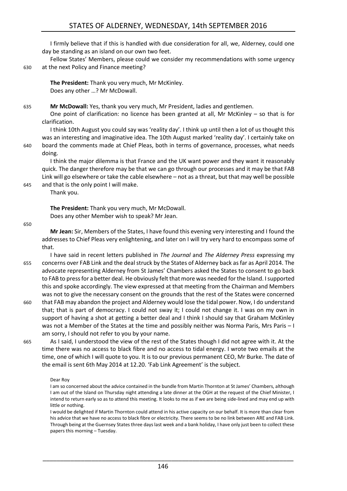I firmly believe that if this is handled with due consideration for all, we, Alderney, could one day be standing as an island on our own two feet.

Fellow States' Members, please could we consider my recommendations with some urgency 630 at the next Policy and Finance meeting?

**The President:** Thank you very much, Mr McKinley. Does any other …? Mr McDowall.

### 635 **Mr McDowall:** Yes, thank you very much, Mr President, ladies and gentlemen.

One point of clarification: no licence has been granted at all, Mr McKinley – so that is for clarification.

I think 10th August you could say was 'reality day'. I think up until then a lot of us thought this was an interesting and imaginative idea. The 10th August marked 'reality day'. I certainly take on 640 board the comments made at Chief Pleas, both in terms of governance, processes, what needs doing.

I think the major dilemma is that France and the UK want power and they want it reasonably quick. The danger therefore may be that we can go through our processes and it may be that FAB Link will go elsewhere or take the cable elsewhere – not as a threat, but that may well be possible 645 and that is the only point I will make.

Thank you.

**The President:** Thank you very much, Mr McDowall. Does any other Member wish to speak? Mr Jean.

650

**Mr Jean:** Sir, Members of the States, I have found this evening very interesting and I found the addresses to Chief Pleas very enlightening, and later on I will try very hard to encompass some of that.

I have said in recent letters published in *The Journal* and *The Alderney Press* expressing my 655 concerns over FAB Link and the deal struck by the States of Alderney back as far as April 2014. The advocate representing Alderney from St James' Chambers asked the States to consent to go back to FAB to press for a better deal. He obviously felt that more was needed for the Island. I supported this and spoke accordingly. The view expressed at that meeting from the Chairman and Members was not to give the necessary consent on the grounds that the rest of the States were concerned

- 660 that FAB may abandon the project and Alderney would lose the tidal power. Now, I do understand that; that is part of democracy. I could not sway it; I could not change it. I was on my own in support of having a shot at getting a better deal and I think I should say that Graham McKinley was not a Member of the States at the time and possibly neither was Norma Paris, Mrs Paris – I am sorry, I should not refer to you by your name.
- 

665 As I said, I understood the view of the rest of the States though I did not agree with it. At the time there was no access to black fibre and no access to tidal energy. I wrote two emails at the time, one of which I will quote to you. It is to our previous permanent CEO, Mr Burke. The date of the email is sent 6th May 2014 at 12.20. 'Fab Link Agreement' is the subject.

#### Dear Roy

I am so concerned about the advice contained in the bundle from Martin Thornton at St James' Chambers, although I am out of the Island on Thursday night attending a late dinner at the OGH at the request of the Chief Minister, I intend to return early so as to attend this meeting. It looks to me as if we are being side-lined and may end up with little or nothing.

I would be delighted if Martin Thornton could attend in his active capacity on our behalf. It is more than clear from his advice that we have no access to black fibre or electricity. There seems to be no link between ARE and FAB Link. Through being at the Guernsey States three days last week and a bank holiday, I have only just been to collect these papers this morning – Tuesday.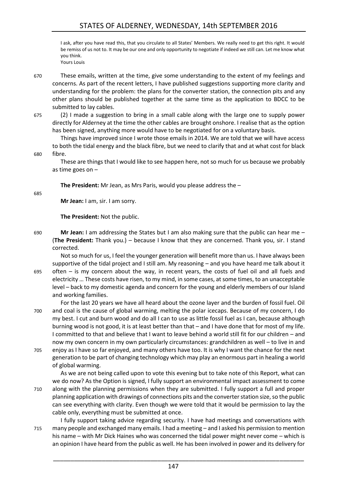I ask, after you have read this, that you circulate to all States' Members. We really need to get this right. It would be remiss of us not to. It may be our one and only opportunity to negotiate if indeed we still can. Let me know what you think. Yours Louis

- 670 These emails, written at the time, give some understanding to the extent of my feelings and concerns. As part of the recent letters, I have published suggestions supporting more clarity and understanding for the problem: the plans for the converter station, the connection pits and any other plans should be published together at the same time as the application to BDCC to be submitted to lay cables.
- 

675 (2) I made a suggestion to bring in a small cable along with the large one to supply power directly for Alderney at the time the other cables are brought onshore. I realise that as the option has been signed, anything more would have to be negotiated for on a voluntary basis.

Things have improved since I wrote those emails in 2014. We are told that we will have access to both the tidal energy and the black fibre, but we need to clarify that and at what cost for black 680 fibre.

These are things that I would like to see happen here, not so much for us because we probably as time goes on –

**The President:** Mr Jean, as Mrs Paris, would you please address the –

685

**Mr Jean:** I am, sir. I am sorry.

**The President:** Not the public.

690 **Mr Jean:** I am addressing the States but I am also making sure that the public can hear me – (**The President:** Thank you.) – because I know that they are concerned. Thank you, sir. I stand corrected.

Not so much for us, I feel the younger generation will benefit more than us. I have always been supportive of the tidal project and I still am. My reasoning – and you have heard me talk about it 695 often – is my concern about the way, in recent years, the costs of fuel oil and all fuels and electricity … These costs have risen, to my mind, in some cases, at some times, to an unacceptable level – back to my domestic agenda and concern for the young and elderly members of our Island and working families.

For the last 20 years we have all heard about the ozone layer and the burden of fossil fuel. Oil 700 and coal is the cause of global warming, melting the polar icecaps. Because of my concern, I do my best. I cut and burn wood and do all I can to use as little fossil fuel as I can, because although burning wood is not good, it is at least better than that – and I have done that for most of my life. I committed to that and believe that I want to leave behind a world still fit for our children – and now my own concern in my own particularly circumstances: grandchildren as well – to live in and

705 enjoy as I have so far enjoyed, and many others have too. It is why I want the chance for the next generation to be part of changing technology which may play an enormous part in healing a world of global warming.

As we are not being called upon to vote this evening but to take note of this Report, what can we do now? As the Option is signed, I fully support an environmental impact assessment to come 710 along with the planning permissions when they are submitted. I fully support a full and proper planning application with drawings of connections pits and the converterstation size, so the public can see everything with clarity. Even though we were told that it would be permission to lay the cable only, everything must be submitted at once.

I fully support taking advice regarding security. I have had meetings and conversations with 715 many people and exchanged many emails. I had a meeting – and I asked his permission to mention his name – with Mr Dick Haines who was concerned the tidal power might never come – which is an opinion I have heard from the public as well. He has been involved in power and its delivery for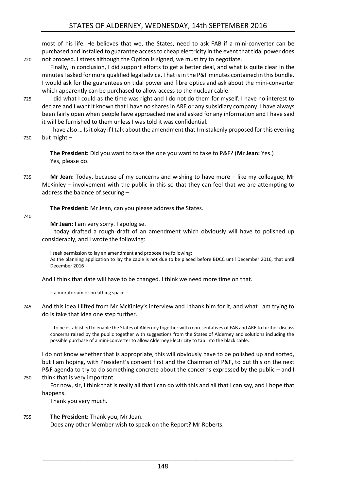most of his life. He believes that we, the States, need to ask FAB if a mini-converter can be purchased and installed to guarantee access to cheap electricity in the event that tidal power does 720 not proceed. I stress although the Option is signed, we must try to negotiate.

Finally, in conclusion, I did support efforts to get a better deal, and what is quite clear in the minutesI asked for more qualified legal advice. That is in the P&F minutes contained in this bundle. I would ask for the guarantees on tidal power and fibre optics and ask about the mini-converter which apparently can be purchased to allow access to the nuclear cable.

725 I did what I could as the time was right and I do not do them for myself. I have no interest to declare and I want it known that I have no shares in ARE or any subsidiary company. I have always been fairly open when people have approached me and asked for any information and I have said it will be furnished to them unless I was told it was confidential.

I have also … Is it okay if I talk about the amendment that I mistakenly proposed for this evening 730 but might –

**The President:** Did you want to take the one you want to take to P&F? (**Mr Jean:** Yes.) Yes, please do.

735 **Mr Jean:** Today, because of my concerns and wishing to have more – like my colleague, Mr McKinley – involvement with the public in this so that they can feel that we are attempting to address the balance of securing –

**The President:** Mr Jean, can you please address the States.

740

**Mr Jean:** I am very sorry. I apologise.

I today drafted a rough draft of an amendment which obviously will have to polished up considerably, and I wrote the following:

I seek permission to lay an amendment and propose the following: As the planning application to lay the cable is not due to be placed before BDCC until December 2016, that until December 2016 –

And I think that date will have to be changed. I think we need more time on that.

– a moratorium or breathing space –

745 And this idea I lifted from Mr McKinley's interview and I thank him for it, and what I am trying to do is take that idea one step further.

– to be established to enable the States of Alderney together with representatives of FAB and ARE to further discuss concerns raised by the public together with suggestions from the States of Alderney and solutions including the possible purchase of a mini-converter to allow Alderney Electricity to tap into the black cable.

I do not know whether that is appropriate, this will obviously have to be polished up and sorted, but I am hoping, with President's consent first and the Chairman of P&F, to put this on the next P&F agenda to try to do something concrete about the concerns expressed by the public – and I

750 think that is very important.

For now, sir, I think that is really all that I can do with this and all that I can say, and I hope that happens.

Thank you very much.

# 755 **The President:** Thank you, Mr Jean.

Does any other Member wish to speak on the Report? Mr Roberts.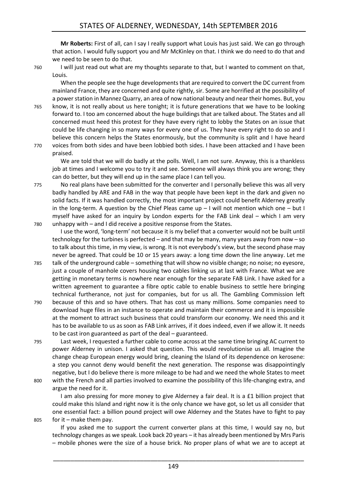**Mr Roberts:** First of all, can I say I really support what Louis has just said. We can go through that action. I would fully support you and Mr McKinley on that. I think we do need to do that and we need to be seen to do that.

760 I will just read out what are my thoughts separate to that, but I wanted to comment on that, Louis.

When the people see the huge developments that are required to convert the DC current from mainland France, they are concerned and quite rightly, sir. Some are horrified at the possibility of a power station in Mannez Quarry, an area of now national beauty and near their homes. But, you 765 know, it is not really about us here tonight; it is future generations that we have to be looking forward to. I too am concerned about the huge buildings that are talked about. The States and all concerned must heed this protest for they have every right to lobby the States on an issue that could be life changing in so many ways for every one of us. They have every right to do so and I believe this concern helps the States enormously, but the community is split and I have heard

770 voices from both sides and have been lobbied both sides. I have been attacked and I have been

praised.

We are told that we will do badly at the polls. Well, I am not sure. Anyway, this is a thankless job at times and I welcome you to try it and see. Someone will always think you are wrong; they can do better, but they will end up in the same place I can tell you.

775 No real plans have been submitted for the converter and I personally believe this was all very badly handled by ARE and FAB in the way that people have been kept in the dark and given no solid facts. If it was handled correctly, the most important project could benefit Alderney greatly in the long-term. A question by the Chief Pleas came up  $-1$  will not mention which one  $-$  but I myself have asked for an inquiry by London experts for the FAB Link deal – which I am very 780 unhappy with – and I did receive a positive response from the States.

I use the word, 'long-term' not because it is my belief that a converter would not be built until technology for the turbines is perfected – and that may be many, many years away from now – so to talk about this time, in my view, is wrong. It is not everybody's view, but the second phase may never be agreed. That could be 10 or 15 years away: a long time down the line anyway. Let me

- 785 talk of the underground cable something that will show no visible change; no noise; no eyesore, just a couple of manhole covers housing two cables linking us at last with France. What we are getting in monetary terms is nowhere near enough for the separate FAB Link. I have asked for a written agreement to guarantee a fibre optic cable to enable business to settle here bringing technical furtherance, not just for companies, but for us all. The Gambling Commission left
- 790 because of this and so have others. That has cost us many millions. Some companies need to download huge files in an instance to operate and maintain their commerce and it is impossible at the moment to attract such business that could transform our economy. We need this and it has to be available to us as soon as FAB Link arrives, if it does indeed, even if we allow it. It needs to be cast iron guaranteed as part of the deal – guaranteed.
- 795 Last week, I requested a further cable to come across at the same time bringing AC current to power Alderney in unison. I asked that question. This would revolutionise us all. Imagine the change cheap European energy would bring, cleaning the Island of its dependence on kerosene: a step you cannot deny would benefit the next generation. The response was disappointingly negative, but I do believe there is more mileage to be had and we need the whole States to meet 800 with the French and all parties involved to examine the possibility of this life-changing extra, and

argue the need for it.

I am also pressing for more money to give Alderney a fair deal. It is a £1 billion project that could make this Island and right now it is the only chance we have got, so let us all consider that one essential fact: a billion pound project will owe Alderney and the States have to fight to pay 805 for it – make them pay.

If you asked me to support the current converter plans at this time, I would say no, but technology changes as we speak. Look back 20 years – it has already been mentioned by Mrs Paris – mobile phones were the size of a house brick. No proper plans of what we are to accept at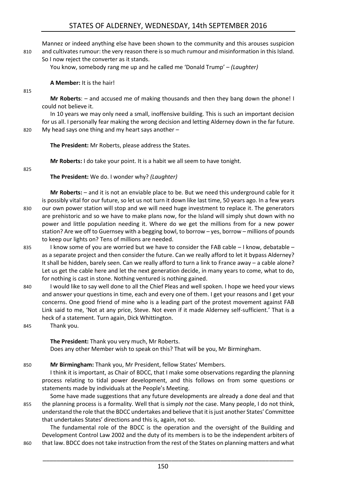Mannez or indeed anything else have been shown to the community and this arouses suspicion 810 and cultivates rumour: the very reason there is so much rumour and misinformation in this Island.

So I now reject the converter as it stands.

You know, somebody rang me up and he called me 'Donald Trump' – *(Laughter)* 

**A Member:** It is the hair!

**Mr Roberts**: – and accused me of making thousands and then they bang down the phone! I could not believe it.

In 10 years we may only need a small, inoffensive building. This is such an important decision for us all. I personally fear making the wrong decision and letting Alderney down in the far future. 820 My head says one thing and my heart says another –

815

**The President:** Mr Roberts, please address the States.

**Mr Roberts:** I do take your point. It is a habit we all seem to have tonight.

825

**The President:** We do. I wonder why? *(Laughter)* 

**Mr Roberts:** – and it is not an enviable place to be. But we need this underground cable for it is possibly vital for our future, so let us not turn it down like last time, 50 years ago. In a few years 830 our own power station will stop and we will need huge investment to replace it. The generators are prehistoric and so we have to make plans now, for the Island will simply shut down with no power and little population needing it. Where do we get the millions from for a new power station? Are we off to Guernsey with a begging bowl, to borrow – yes, borrow – millions of pounds to keep our lights on? Tens of millions are needed.

- 835 I know some of you are worried but we have to consider the FAB cable I know, debatable as a separate project and then consider the future. Can we really afford to let it bypass Alderney? It shall be hidden, barely seen. Can we really afford to turn a link to France away – a cable alone? Let us get the cable here and let the next generation decide, in many years to come, what to do, for nothing is cast in stone. Nothing ventured is nothing gained.
- 840 I would like to say well done to all the Chief Pleas and well spoken. I hope we heed your views and answer your questions in time, each and every one of them. I get your reasons and I get your concerns. One good friend of mine who is a leading part of the protest movement against FAB Link said to me, 'Not at any price, Steve. Not even if it made Alderney self-sufficient.' That is a heck of a statement. Turn again, Dick Whittington.
- 845 Thank you.

**The President:** Thank you very much, Mr Roberts. Does any other Member wish to speak on this? That will be you, Mr Birmingham.

850 **Mr Birmingham:** Thank you, Mr President, fellow States' Members.

I think it is important, as Chair of BDCC, that I make some observations regarding the planning process relating to tidal power development, and this follows on from some questions or statements made by individuals at the People's Meeting.

Some have made suggestions that any future developments are already a done deal and that 855 the planning process is a formality. Well that is simply *not* the case. Many people, I do not think, understand the role that the BDCC undertakes and believe that it is just another States' Committee that undertakes States' directions and this is, again, not so.

The fundamental role of the BDCC is the operation and the oversight of the Building and Development Control Law 2002 and the duty of its members is to be the independent arbiters of 860 that law. BDCC does not take instruction from the rest of the States on planning matters and what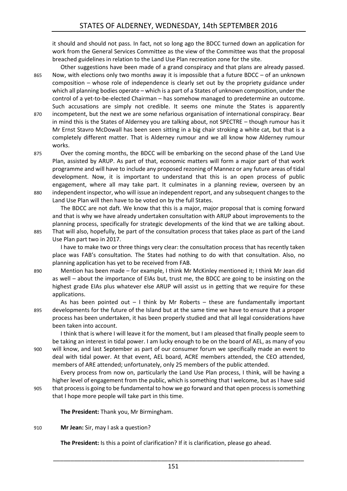it should and should not pass. In fact, not so long ago the BDCC turned down an application for work from the General Services Committee as the view of the Committee was that the proposal breached guidelines in relation to the Land Use Plan recreation zone for the site.

Other suggestions have been made of a grand conspiracy and that plans are already passed. 865 Now, with elections only two months away it is impossible that a future BDCC – of an unknown composition – whose role of independence is clearly set out by the propriety guidance under which all planning bodies operate – which is a part of a States of unknown composition, under the control of a yet-to-be-elected Chairman – has somehow managed to predetermine an outcome. Such accusations are simply not credible. It seems one minute the States is apparently 870 incompetent, but the next we are some nefarious organisation of international conspiracy. Bear in mind this is the States of Alderney you are talking about, not SPECTRE – though rumour has it Mr Ernst Stavro McDowall has been seen sitting in a big chair stroking a white cat, but that is a completely different matter. That is Alderney rumour and we all know how Alderney rumour works.

875 Over the coming months, the BDCC will be embarking on the second phase of the Land Use Plan, assisted by ARUP. As part of that, economic matters will form a major part of that work programme and will have to include any proposed rezoning of Mannez or any future areas of tidal development. Now, it is important to understand that this is an open process of public engagement, where all may take part. It culminates in a planning review, overseen by an 880 independent inspector, who will issue an independent report, and any subsequent changes to the Land Use Plan will then have to be voted on by the full States.

The BDCC are not daft. We know that this is a major, major proposal that is coming forward and that is why we have already undertaken consultation with ARUP about improvements to the planning process, specifically for strategic developments of the kind that we are talking about. 885 That will also, hopefully, be part of the consultation process that takes place as part of the Land

Use Plan part two in 2017.

I have to make two or three things very clear: the consultation process that has recently taken place was FAB's consultation. The States had nothing to do with that consultation. Also, no planning application has yet to be received from FAB.

890 Mention has been made – for example, I think Mr McKinley mentioned it; I think Mr Jean did as well – about the importance of EIAs but, trust me, the BDCC are going to be insisting on the highest grade EIAs plus whatever else ARUP will assist us in getting that we require for these applications.

As has been pointed out  $-1$  think by Mr Roberts – these are fundamentally important 895 developments for the future of the Island but at the same time we have to ensure that a proper process has been undertaken, it has been properly studied and that all legal considerations have been taken into account.

I think that is where I will leave it for the moment, but I am pleased that finally people seem to be taking an interest in tidal power. I am lucky enough to be on the board of AEL, as many of you 900 will know, and last September as part of our consumer forum we specifically made an event to deal with tidal power. At that event, AEL board, ACRE members attended, the CEO attended, members of ARE attended; unfortunately, only 25 members of the public attended.

Every process from now on, particularly the Land Use Plan process, I think, will be having a higher level of engagement from the public, which is something that I welcome, but as I have said 905 that process is going to be fundamental to how we go forward and that open process is something

that I hope more people will take part in this time.

**The President:** Thank you, Mr Birmingham.

910 **Mr Jean:** Sir, may I ask a question?

**The President:** Is this a point of clarification? If it is clarification, please go ahead.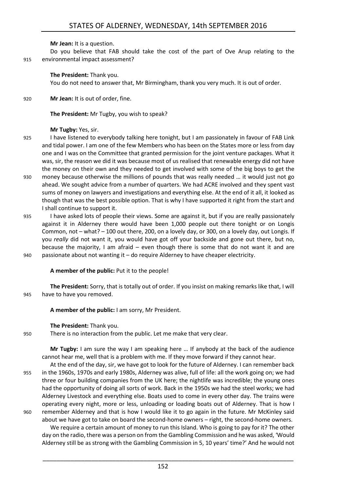**Mr Jean:** It is a question.

Do you believe that FAB should take the cost of the part of Ove Arup relating to the 915 environmental impact assessment?

#### **The President:** Thank you.

You do not need to answer that, Mr Birmingham, thank you very much. It is out of order.

920 **Mr Jean:** It is out of order, fine.

**The President:** Mr Tugby, you wish to speak?

**Mr Tugby:** Yes, sir.

- 925 I have listened to everybody talking here tonight, but I am passionately in favour of FAB Link and tidal power. I am one of the few Members who has been on the States more or less from day one and I was on the Committee that granted permission for the joint venture packages. What it was, sir, the reason we did it was because most of us realised that renewable energy did not have the money on their own and they needed to get involved with some of the big boys to get the
- 930 money because otherwise the millions of pounds that was really needed … it would just not go ahead. We sought advice from a number of quarters. We had ACRE involved and they spent vast sums of money on lawyers and investigations and everything else. At the end of it all, it looked as though that was the best possible option. That is why I have supported it right from the start and I shall continue to support it.
- 935 I have asked lots of people their views. Some are against it, but if you are really passionately against it in Alderney there would have been 1,000 people out there tonight or on Longis Common, not – what? – 100 out there, 200, on a lovely day, or 300, on a lovely day, out Longis. If you *really* did not want it, you would have got off your backside and gone out there, but no, because the majority, I am afraid – even though there is some that do not want it and are 940 passionate about not wanting it – do require Alderney to have cheaper electricity.

**A member of the public:** Put it to the people!

**The President:** Sorry, that is totally out of order. If you insist on making remarks like that, I will 945 have to have you removed.

**A member of the public:** I am sorry, Mr President.

**The President:** Thank you.

950 There is no interaction from the public. Let me make that very clear.

**Mr Tugby:** I am sure the way I am speaking here … If anybody at the back of the audience cannot hear me, well that is a problem with me. If they move forward if they cannot hear.

At the end of the day, sir, we have got to look for the future of Alderney. I can remember back 955 in the 1960s, 1970s and early 1980s, Alderney was alive, full of life: all the work going on; we had three or four building companies from the UK here; the nightlife was incredible; the young ones had the opportunity of doing all sorts of work. Back in the 1950s we had the steel works; we had Alderney Livestock and everything else. Boats used to come in every other day. The trains were operating every night, more or less, unloading or loading boats out of Alderney. That is how I 960 remember Alderney and that is how I would like it to go again in the future. Mr McKinley said about we have got to take on board the second-home owners – right, the second-home owners.

We require a certain amount of money to run this Island. Who is going to pay for it? The other day on the radio, there was a person on from the Gambling Commission and he was asked, 'Would Alderney still be as strong with the Gambling Commission in 5, 10 years' time?' And he would not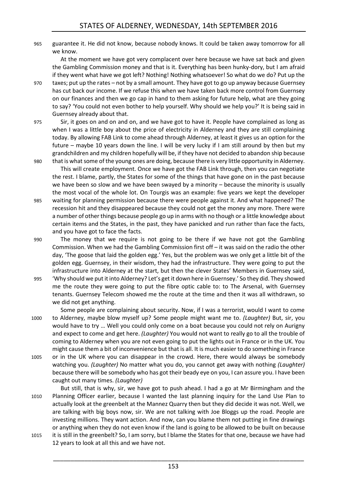965 guarantee it. He did not know, because nobody knows. It could be taken away tomorrow for all we know.

At the moment we have got very complacent over here because we have sat back and given the Gambling Commission money and that is it. Everything has been hunky-dory, but I am afraid if they went what have we got left? Nothing! Nothing whatsoever! So what do we do? Put up the

- 970 taxes; put up the rates not by a small amount. They have got to go up anyway because Guernsey has cut back our income. If we refuse this when we have taken back more control from Guernsey on our finances and then we go cap in hand to them asking for future help, what are they going to say? 'You could not even bother to help yourself. Why should we help you?' It is being said in Guernsey already about that.
- 975 Sir, it goes on and on and on, and we have got to have it. People have complained as long as when I was a little boy about the price of electricity in Alderney and they are still complaining today. By allowing FAB Link to come ahead through Alderney, at least it gives us an option for the future – maybe 10 years down the line. I will be very lucky if I am still around by then but my grandchildren and my children hopefully will be, if they have not decided to abandon ship because
- 980 that is what some of the young ones are doing, because there is very little opportunity in Alderney. This will create employment. Once we have got the FAB Link through, then you can negotiate the rest. I blame, partly, the States for some of the things that have gone on in the past because we have been so slow and we have been swayed by a minority – because the minority is usually the most vocal of the whole lot. On Tourgis was an example: five years we kept the developer
- 985 waiting for planning permission because there were people against it. And what happened? The recession hit and they disappeared because they could not get the money any more. There were a number of other things because people go up in arms with no though or a little knowledge about certain items and the States, in the past, they have panicked and run rather than face the facts, and you have got to face the facts.
- 990 The money that we require is not going to be there if we have not got the Gambling Commission. When we had the Gambling Commission first off – it was said on the radio the other day, 'The goose that laid the golden egg.' Yes, but the problem was we only get a little bit of the golden egg. Guernsey, in their wisdom, they had the infrastructure. They were going to put the infrastructure into Alderney at the start, but then the clever States' Members in Guernsey said,
- 995 'Why should we put it into Alderney? Let's get it down here in Guernsey.' So they did. They showed me the route they were going to put the fibre optic cable to: to The Arsenal, with Guernsey tenants. Guernsey Telecom showed me the route at the time and then it was all withdrawn, so we did not get anything.

Some people are complaining about security. Now, if I was a terrorist, would I want to come 1000 to Alderney, maybe blow myself up? Some people might want me to. *(Laughter)* But, sir, you would have to try … Well you could only come on a boat because you could not rely on Aurigny and expect to come and get here. *(Laughter)* You would not want to really go to all the trouble of coming to Alderney when you are not even going to put the lights out in France or in the UK. You might cause them a bit of inconvenience but that is all. It is much easier to do something in France

1005 or in the UK where you can disappear in the crowd. Here, there would always be somebody watching you. *(Laughter)* No matter what you do, you cannot get away with nothing *(Laughter)*  because there will be somebody who has got their beady eye on you, I can assure you. I have been caught out many times. *(Laughter)* 

But still, that is why, sir, we have got to push ahead. I had a go at Mr Birmingham and the 1010 Planning Officer earlier, because I wanted the last planning inquiry for the Land Use Plan to actually look at the greenbelt at the Mannez Quarry then but they did decide it was not. Well, we are talking with big boys now, sir. We are not talking with Joe Bloggs up the road. People are investing millions. They want action. And now, can you blame them not putting in fine drawings or anything when they do not even know if the land is going to be allowed to be built on because

1015 it is still in the greenbelt? So, I am sorry, but I blame the States for that one, because we have had 12 years to look at all this and we have not.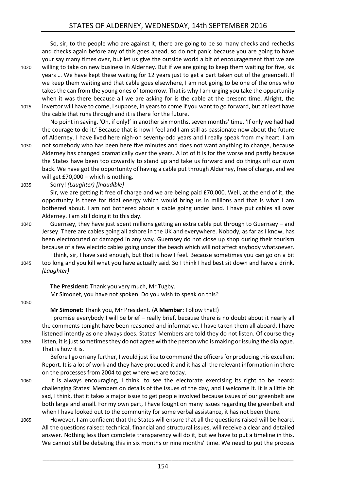So, sir, to the people who are against it, there are going to be so many checks and rechecks and checks again before any of this goes ahead, so do not panic because you are going to have your say many times over, but let us give the outside world a bit of encouragement that we are 1020 willing to take on new business in Alderney. But if we are going to keep them waiting for five, six years … We have kept these waiting for 12 years just to get a part taken out of the greenbelt. If we keep them waiting and that cable goes elsewhere, I am not going to be one of the ones who takes the can from the young ones of tomorrow. That is why I am urging you take the opportunity when it was there because all we are asking for is the cable at the present time. Alright, the 1025 invertor will have to come, I suppose, in years to come if you want to go forward, but at least have the cable that runs through and it is there for the future.

No point in saying, 'Oh, if only!' in another six months, seven months' time. 'If only we had had the courage to do it.' Because that is how I feel and I am still as passionate now about the future of Alderney. I have lived here nigh-on seventy-odd years and I really speak from my heart. I am 1030 not somebody who has been here five minutes and does not want anything to change, because Alderney has changed dramatically over the years. A lot of it is for the worse and partly because the States have been too cowardly to stand up and take us forward and do things off our own back. We have got the opportunity of having a cable put through Alderney, free of charge, and we will get £70,000 – which is nothing.

1035 Sorry! *(Laughter) [Inaudible]*

Sir, we are getting it free of charge and we are being paid £70,000. Well, at the end of it, the opportunity is there for tidal energy which would bring us in millions and that is what I am bothered about. I am not bothered about a cable going under land. I have put cables all over Alderney. I am still doing it to this day.

- 1040 Guernsey, they have just spent millions getting an extra cable put through to Guernsey and Jersey. There are cables going all ashore in the UK and everywhere. Nobody, as far as I know, has been electrocuted or damaged in any way. Guernsey do not close up shop during their tourism because of a few electric cables going under the beach which will not affect anybody whatsoever.
- I think, sir, I have said enough, but that is how I feel. Because sometimes you can go on a bit 1045 too long and you kill what you have actually said. So I think I had best sit down and have a drink. *(Laughter)*

**The President:** Thank you very much, Mr Tugby. Mr Simonet, you have not spoken. Do you wish to speak on this?

#### 1050

**Mr Simonet:** Thank you, Mr President. (**A Member:** Follow that!)

I promise everybody I will be brief – really brief, because there is no doubt about it nearly all the comments tonight have been reasoned and informative. I have taken them all aboard. I have listened intently as one always does. States' Members are told they do not listen. Of course they 1055 listen, it is just sometimes they do not agree with the person who is making or issuing the dialogue. That is how it is.

Before I go on any further, I would just like to commend the officers for producing this excellent Report. It is a lot of work and they have produced it and it has all the relevant information in there on the processes from 2004 to get where we are today.

- 1060 It is always encouraging, I think, to see the electorate exercising its right to be heard: challenging States' Members on details of the issues of the day, and I welcome it. It is a little bit sad, I think, that it takes a major issue to get people involved because issues of our greenbelt are both large and small. For my own part, I have fought on many issues regarding the greenbelt and when I have looked out to the community for some verbal assistance, it has not been there.
- 1065 However, I am confident that the States will ensure that all the questions raised will be heard. All the questions raised: technical, financial and structural issues, will receive a clear and detailed answer. Nothing less than complete transparency will do it, but we have to put a timeline in this. We cannot still be debating this in six months or nine months' time. We need to put the process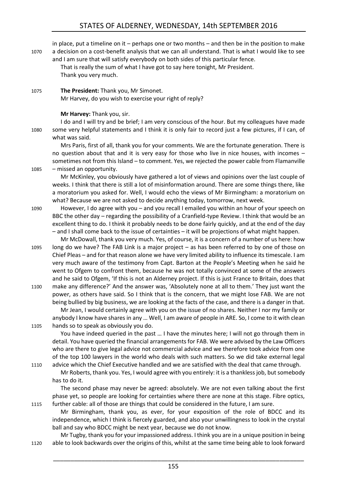in place, put a timeline on it – perhaps one or two months – and then be in the position to make 1070 a decision on a cost-benefit analysis that we can all understand. That is what I would like to see and I am sure that will satisfy everybody on both sides of this particular fence.

That is really the sum of what I have got to say here tonight, Mr President. Thank you very much.

1075 **The President:** Thank you, Mr Simonet. Mr Harvey, do you wish to exercise your right of reply?

# **Mr Harvey:** Thank you, sir.

I do and I will try and be brief; I am very conscious of the hour. But my colleagues have made 1080 some very helpful statements and I think it is only fair to record just a few pictures, if I can, of what was said.

Mrs Paris, first of all, thank you for your comments. We are the fortunate generation. There is no question about that and it is very easy for those who live in nice houses, with incomes – sometimes not from this Island – to comment. Yes, we rejected the power cable from Flamanville 1085 – missed an opportunity.

Mr McKinley, you obviously have gathered a lot of views and opinions over the last couple of weeks. I think that there is still a lot of misinformation around. There are some things there, like a moratorium you asked for. Well, I would echo the views of Mr Birmingham: a moratorium on what? Because we are not asked to decide anything today, tomorrow, next week.

1090 However, I do agree with you – and you recall I emailed you within an hour of your speech on BBC the other day – regarding the possibility of a Cranfield-type Review. I think that would be an excellent thing to do. I think it probably needs to be done fairly quickly, and at the end of the day – and I shall come back to the issue of certainties – it will be projections of what might happen.

Mr McDowall, thank you very much. Yes, of course, it is a concern of a number of us here: how 1095 long do we have? The FAB Link is a major project – as has been referred to by one of those on Chief Pleas – and for that reason alone we have very limited ability to influence its timescale. I am very much aware of the testimony from Capt. Barton at the People's Meeting when he said he went to Ofgem to confront them, because he was not totally convinced at some of the answers and he said to Ofgem, 'If this is not an Alderney project. If this is just France to Britain, does that 1100 make any difference?' And the answer was, 'Absolutely none at all to them.' They just want the power, as others have said. So I think that is the concern, that we might lose FAB. We are not

being bullied by big business, we are looking at the facts of the case, and there is a danger in that. Mr Jean, I would certainly agree with you on the issue of no shares. Neither I nor my family or anybody I know have shares in any … Well, I am aware of people in ARE. So, I come to it with clean

1105 hands so to speak as obviously you do.

You have indeed queried in the past … I have the minutes here; I will not go through them in detail. You have queried the financial arrangements for FAB. We were advised by the Law Officers who are there to give legal advice not commercial advice and we therefore took advice from one of the top 100 lawyers in the world who deals with such matters. So we did take external legal 1110 advice which the Chief Executive handled and we are satisfied with the deal that came through.

Mr Roberts, thank you. Yes, I would agree with you entirely: it is a thankless job, but somebody has to do it.

The second phase may never be agreed: absolutely. We are not even talking about the first phase yet, so people are looking for certainties where there are none at this stage. Fibre optics, 1115 further cable: all of those are things that could be considered in the future, I am sure.

Mr Birmingham, thank you, as ever, for your exposition of the role of BDCC and its independence, which I think is fiercely guarded, and also your unwillingness to look in the crystal ball and say who BDCC might be next year, because we do not know.

Mr Tugby, thank you for your impassioned address. I think you are in a unique position in being 1120 able to look backwards over the origins of this, whilst at the same time being able to look forward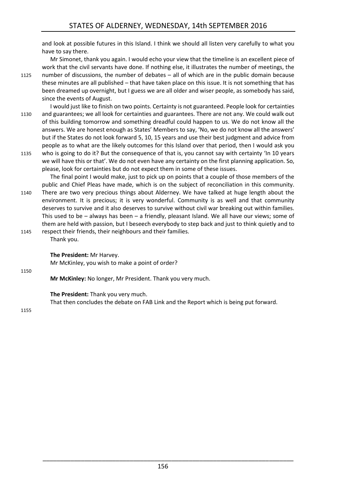and look at possible futures in this Island. I think we should all listen very carefully to what you have to say there.

Mr Simonet, thank you again. I would echo your view that the timeline is an excellent piece of work that the civil servants have done. If nothing else, it illustrates the number of meetings, the

1125 number of discussions, the number of debates – all of which are in the public domain because these minutes are all published – that have taken place on this issue. It is not something that has been dreamed up overnight, but I guess we are all older and wiser people, as somebody has said, since the events of August.

I would just like to finish on two points. Certainty is not guaranteed. People look for certainties 1130 and guarantees; we all look for certainties and guarantees. There are not any. We could walk out of this building tomorrow and something dreadful could happen to us. We do not know all the answers. We are honest enough as States' Members to say, 'No, we do not know all the answers' but if the States do not look forward 5, 10, 15 years and use their best judgment and advice from people as to what are the likely outcomes for this Island over that period, then I would ask you

1135 who is going to do it? But the consequence of that is, you cannot say with certainty 'In 10 years we will have this or that'. We do not even have any certainty on the first planning application. So, please, look for certainties but do not expect them in some of these issues.

The final point I would make, just to pick up on points that a couple of those members of the public and Chief Pleas have made, which is on the subject of reconciliation in this community. 1140 There are two very precious things about Alderney. We have talked at huge length about the environment. It is precious; it is very wonderful. Community is as well and that community deserves to survive and it also deserves to survive without civil war breaking out within families. This used to be – always has been – a friendly, pleasant Island. We all have our views; some of

them are held with passion, but I beseech everybody to step back and just to think quietly and to 1145 respect their friends, their neighbours and their families.

Thank you.

**The President:** Mr Harvey.

Mr McKinley, you wish to make a point of order?

1150

**Mr McKinley:** No longer, Mr President. Thank you very much.

**The President:** Thank you very much.

<span id="page-29-0"></span>That then concludes the debate on FAB Link and the Report which is being put forward.

1155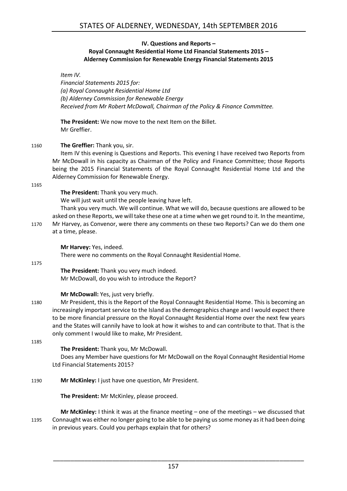### **IV. Questions and Reports – Royal Connaught Residential Home Ltd Financial Statements 2015 – Alderney Commission for Renewable Energy Financial Statements 2015**

### *Item IV.*

*Financial Statements 2015 for: (a) Royal Connaught Residential Home Ltd (b) Alderney Commission for Renewable Energy Received from Mr Robert McDowall, Chairman of the Policy & Finance Committee.*

**The President:** We now move to the next Item on the Billet. Mr Greffier.

# 1160 **The Greffier:** Thank you, sir.

Item IV this evening is Questions and Reports. This evening I have received two Reports from Mr McDowall in his capacity as Chairman of the Policy and Finance Committee; those Reports being the 2015 Financial Statements of the Royal Connaught Residential Home Ltd and the Alderney Commission for Renewable Energy.

#### 1165

**The President:** Thank you very much.

We will just wait until the people leaving have left.

Thank you very much. We will continue. What we will do, because questions are allowed to be asked on these Reports, we will take these one at a time when we get round to it. In the meantime, 1170 Mr Harvey, as Convenor, were there any comments on these two Reports? Can we do them one at a time, please.

#### **Mr Harvey:** Yes, indeed.

There were no comments on the Royal Connaught Residential Home.

#### 1175

**The President:** Thank you very much indeed. Mr McDowall, do you wish to introduce the Report?

#### **Mr McDowall:** Yes, just very briefly.

1180 Mr President, this is the Report of the Royal Connaught Residential Home. This is becoming an increasingly important service to the Island as the demographics change and I would expect there to be more financial pressure on the Royal Connaught Residential Home over the next few years and the States will cannily have to look at how it wishes to and can contribute to that. That is the only comment I would like to make, Mr President.

1185

# **The President:** Thank you, Mr McDowall.

Does any Member have questions for Mr McDowall on the Royal Connaught Residential Home Ltd Financial Statements 2015?

1190 **Mr McKinley:** I just have one question, Mr President.

**The President:** Mr McKinley, please proceed.

**Mr McKinley:** I think it was at the finance meeting – one of the meetings – we discussed that 1195 Connaught was either no longer going to be able to be paying us some money as it had been doing in previous years. Could you perhaps explain that for others?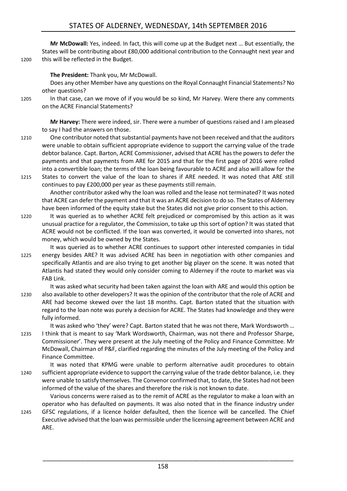**Mr McDowall:** Yes, indeed. In fact, this will come up at the Budget next … But essentially, the States will be contributing about £80,000 additional contribution to the Connaught next year and 1200 this will be reflected in the Budget.

**The President:** Thank you, Mr McDowall.

Does any other Member have any questions on the Royal Connaught Financial Statements? No other questions?

1205 In that case, can we move of if you would be so kind, Mr Harvey. Were there any comments on the ACRE Financial Statements?

**Mr Harvey:** There were indeed, sir. There were a number of questions raised and I am pleased to say I had the answers on those.

- 1210 One contributor noted that substantial payments have not been received and that the auditors were unable to obtain sufficient appropriate evidence to support the carrying value of the trade debtor balance. Capt. Barton, ACRE Commissioner, advised that ACRE has the powers to defer the payments and that payments from ARE for 2015 and that for the first page of 2016 were rolled into a convertible loan; the terms of the loan being favourable to ACRE and also will allow for the 1215 States to convert the value of the loan to shares if ARE needed. It was noted that ARE still
- continues to pay £200,000 per year as these payments still remain. Another contributor asked why the loan was rolled and the lease not terminated? It was noted

that ACRE can defer the payment and that it was an ACRE decision to do so. The States of Alderney have been informed of the equity stake but the States did not give prior consent to this action.

- 1220 It was queried as to whether ACRE felt prejudiced or compromised by this action as it was unusual practice for a regulator, the Commission, to take up this sort of option? It was stated that ACRE would not be conflicted. If the loan was converted, it would be converted into shares, not money, which would be owned by the States.
- It was queried as to whether ACRE continues to support other interested companies in tidal 1225 energy besides ARE? It was advised ACRE has been in negotiation with other companies and specifically Atlantis and are also trying to get another big player on the scene. It was noted that Atlantis had stated they would only consider coming to Alderney if the route to market was via FAB Link.
- It was asked what security had been taken against the loan with ARE and would this option be 1230 also available to other developers? It was the opinion of the contributor that the role of ACRE and ARE had become skewed over the last 18 months. Capt. Barton stated that the situation with regard to the loan note was purely a decision for ACRE. The States had knowledge and they were fully informed.

It was asked who 'they' were? Capt. Barton stated that he was not there, Mark Wordsworth …

- 1235 I think that is meant to say 'Mark Wordsworth, Chairman, was not there and Professor Sharpe, Commissioner'. They were present at the July meeting of the Policy and Finance Committee. Mr McDowall, Chairman of P&F, clarified regarding the minutes of the July meeting of the Policy and Finance Committee.
- It was noted that KPMG were unable to perform alternative audit procedures to obtain 1240 sufficient appropriate evidence to support the carrying value of the trade debtor balance, i.e. they were unable to satisfy themselves. The Convenor confirmed that, to date, the States had not been informed of the value of the shares and therefore the risk is not known to date.

Various concerns were raised as to the remit of ACRE as the regulator to make a loan with an operator who has defaulted on payments. It was also noted that in the finance industry under 1245 GFSC regulations, if a licence holder defaulted, then the licence will be cancelled. The Chief Executive advised that the loan was permissible under the licensing agreement between ACRE and ARE.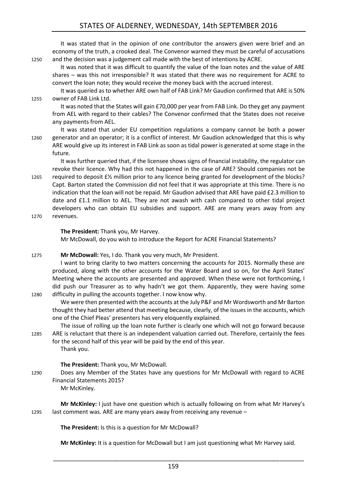# STATES OF ALDERNEY, WEDNESDAY, 14th SEPTEMBER 2016

It was stated that in the opinion of one contributor the answers given were brief and an economy of the truth, a crooked deal. The Convenor warned they must be careful of accusations 1250 and the decision was a judgement call made with the best of intentions by ACRE. It was noted that it was difficult to quantify the value of the loan notes and the value of ARE shares – was this not irresponsible? It was stated that there was no requirement for ACRE to convert the loan note; they would receive the money back with the accrued interest. It was queried as to whether ARE own half of FAB Link? Mr Gaudion confirmed that ARE is 50% 1255 owner of FAB Link Ltd. It was noted that the States will gain £70,000 per year from FAB Link. Do they get any payment from AEL with regard to their cables? The Convenor confirmed that the States does not receive any payments from AEL. It was stated that under EU competition regulations a company cannot be both a power 1260 generator and an operator; it is a conflict of interest. Mr Gaudion acknowledged that this is why ARE would give up its interest in FAB Link as soon as tidal power is generated at some stage in the future. It was further queried that, if the licensee shows signs of financial instability, the regulator can revoke their licence. Why had this not happened in the case of ARE? Should companies not be 1265 required to deposit £½ million prior to any licence being granted for development of the blocks? Capt. Barton stated the Commission did not feel that it was appropriate at this time. There is no indication that the loan will not be repaid. Mr Gaudion advised that ARE have paid £2.3 million to date and £1.1 million to AEL. They are not awash with cash compared to other tidal project developers who can obtain EU subsidies and support. ARE are many years away from any 1270 revenues. **The President:** Thank you, Mr Harvey. Mr McDowall, do you wish to introduce the Report for ACRE Financial Statements? 1275 **Mr McDowall:** Yes, I do. Thank you very much, Mr President. I want to bring clarity to two matters concerning the accounts for 2015. Normally these are produced, along with the other accounts for the Water Board and so on, for the April States' Meeting where the accounts are presented and approved. When these were not forthcoming, I did push our Treasurer as to why hadn't we got them. Apparently, they were having some

- 1280 difficulty in pulling the accounts together. I now know why. We were then presented with the accounts at the July P&F and Mr Wordsworth and Mr Barton thought they had better attend that meeting because, clearly, of the issues in the accounts, which one of the Chief Pleas' presenters has very eloquently explained.
- The issue of rolling up the loan note further is clearly one which will not go forward because 1285 ARE is reluctant that there is an independent valuation carried out. Therefore, certainly the fees for the second half of this year will be paid by the end of this year. Thank you.

#### **The President:** Thank you, Mr McDowall.

1290 Does any Member of the States have any questions for Mr McDowall with regard to ACRE Financial Statements 2015?

Mr McKinley.

**Mr McKinley:** I just have one question which is actually following on from what Mr Harvey's 1295 last comment was. ARE are many years away from receiving any revenue –

**The President:** Is this is a question for Mr McDowall?

**Mr McKinley:** It is a question for McDowall but I am just questioning what Mr Harvey said.